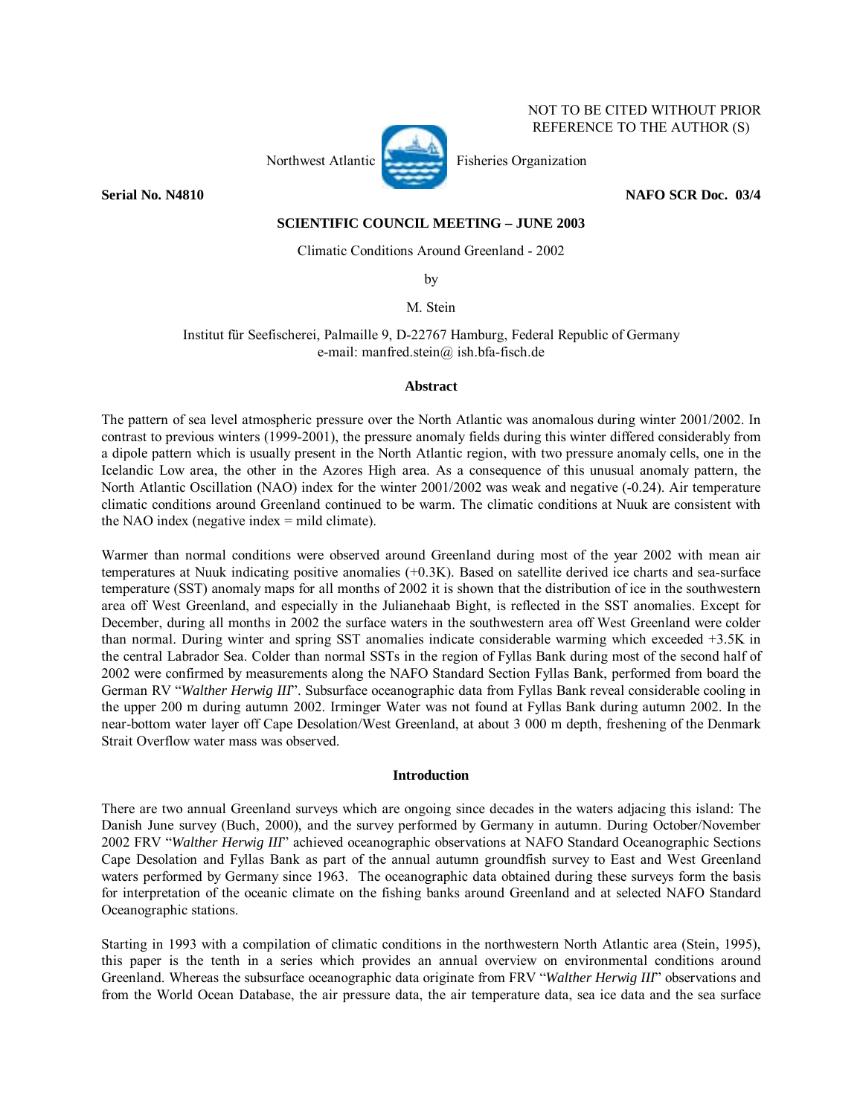

 NOT TO BE CITED WITHOUT PRIOR REFERENCE TO THE AUTHOR (S)

**Serial No. N4810 NAFO SCR Doc. 03/4** 

# **SCIENTIFIC COUNCIL MEETING – JUNE 2003**

Climatic Conditions Around Greenland - 2002

by

M. Stein

Institut für Seefischerei, Palmaille 9, D-22767 Hamburg, Federal Republic of Germany e-mail: manfred.stein@ ish.bfa-fisch.de

### **Abstract**

The pattern of sea level atmospheric pressure over the North Atlantic was anomalous during winter 2001/2002. In contrast to previous winters (1999-2001), the pressure anomaly fields during this winter differed considerably from a dipole pattern which is usually present in the North Atlantic region, with two pressure anomaly cells, one in the Icelandic Low area, the other in the Azores High area. As a consequence of this unusual anomaly pattern, the North Atlantic Oscillation (NAO) index for the winter 2001/2002 was weak and negative (-0.24). Air temperature climatic conditions around Greenland continued to be warm. The climatic conditions at Nuuk are consistent with the NAO index (negative index = mild climate).

Warmer than normal conditions were observed around Greenland during most of the year 2002 with mean air temperatures at Nuuk indicating positive anomalies (+0.3K). Based on satellite derived ice charts and sea-surface temperature (SST) anomaly maps for all months of 2002 it is shown that the distribution of ice in the southwestern area off West Greenland, and especially in the Julianehaab Bight, is reflected in the SST anomalies. Except for December, during all months in 2002 the surface waters in the southwestern area off West Greenland were colder than normal. During winter and spring SST anomalies indicate considerable warming which exceeded +3.5K in the central Labrador Sea. Colder than normal SSTs in the region of Fyllas Bank during most of the second half of 2002 were confirmed by measurements along the NAFO Standard Section Fyllas Bank, performed from board the German RV "Walther Herwig III". Subsurface oceanographic data from Fyllas Bank reveal considerable cooling in the upper 200 m during autumn 2002. Irminger Water was not found at Fyllas Bank during autumn 2002. In the near-bottom water layer off Cape Desolation/West Greenland, at about 3 000 m depth, freshening of the Denmark Strait Overflow water mass was observed.

# **Introduction**

There are two annual Greenland surveys which are ongoing since decades in the waters adjacing this island: The Danish June survey (Buch, 2000), and the survey performed by Germany in autumn. During October/November 2002 FRV "Walther Herwig III" achieved oceanographic observations at NAFO Standard Oceanographic Sections Cape Desolation and Fyllas Bank as part of the annual autumn groundfish survey to East and West Greenland waters performed by Germany since 1963. The oceanographic data obtained during these surveys form the basis for interpretation of the oceanic climate on the fishing banks around Greenland and at selected NAFO Standard Oceanographic stations.

Starting in 1993 with a compilation of climatic conditions in the northwestern North Atlantic area (Stein, 1995), this paper is the tenth in a series which provides an annual overview on environmental conditions around Greenland. Whereas the subsurface oceanographic data originate from FRV *"Walther Herwig III"* observations and from the World Ocean Database, the air pressure data, the air temperature data, sea ice data and the sea surface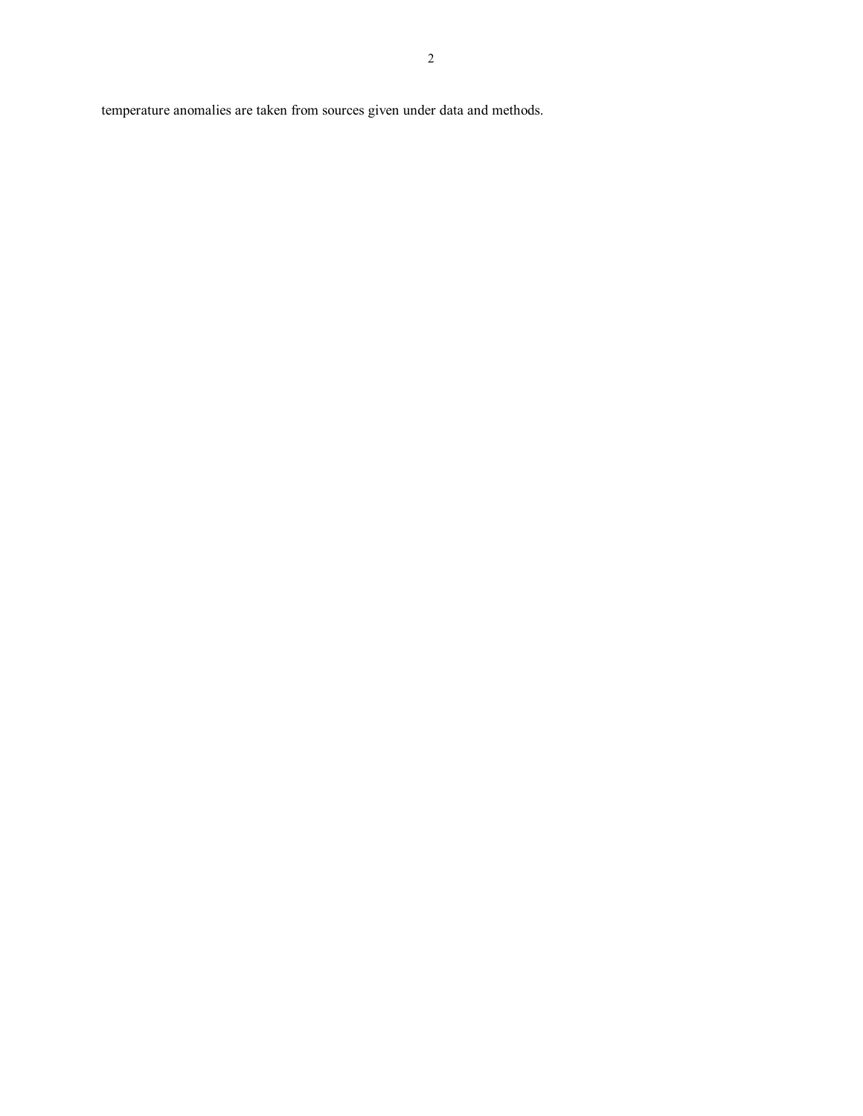temperature anomalies are taken from sources given under data and methods.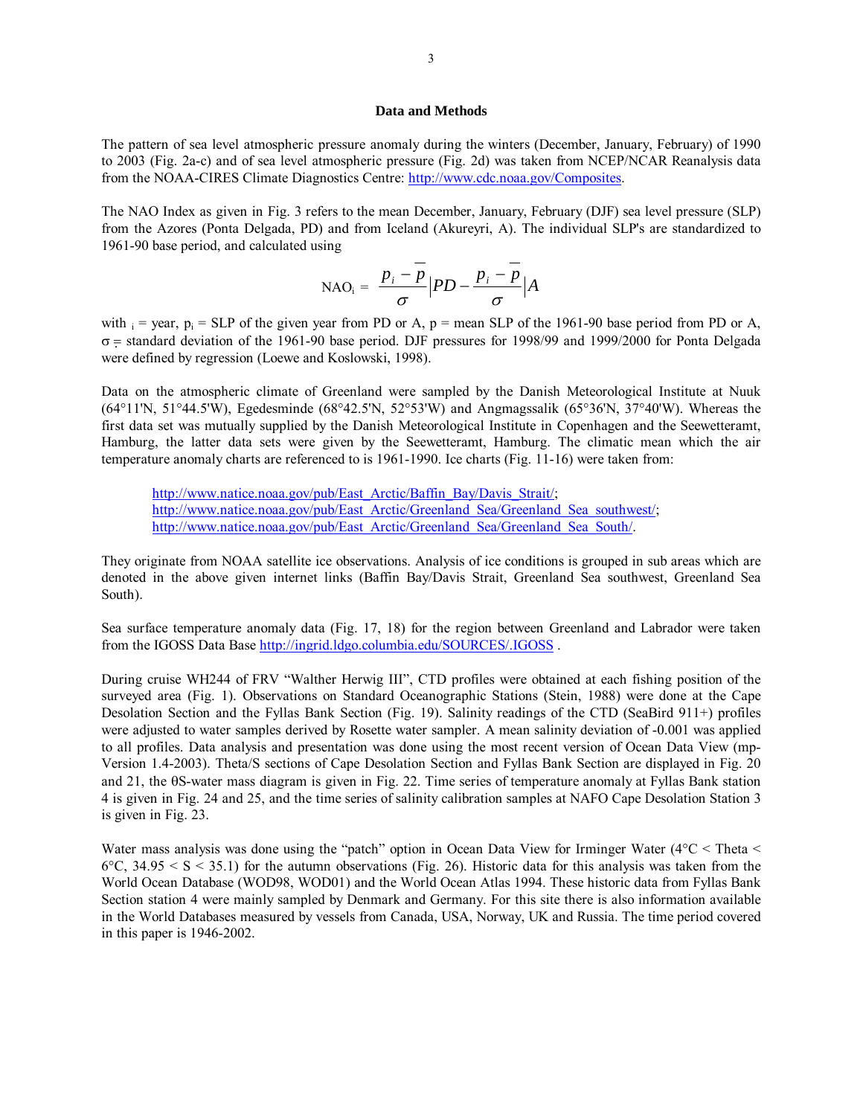#### **Data and Methods**

The pattern of sea level atmospheric pressure anomaly during the winters (December, January, February) of 1990 to 2003 (Fig. 2a-c) and of sea level atmospheric pressure (Fig. 2d) was taken from NCEP/NCAR Reanalysis data from the NOAA-CIRES Climate Diagnostics Centre: http://www.cdc.noaa.gov/Composites.

The NAO Index as given in Fig. 3 refers to the mean December, January, February (DJF) sea level pressure (SLP) from the Azores (Ponta Delgada, PD) and from Iceland (Akureyri, A). The individual SLP's are standardized to 1961-90 base period, and calculated using

$$
\text{NAO}_{i} = \frac{p_{i} - \overline{p}}{\sigma} \Big| PD - \frac{p_{i} - \overline{p}}{\sigma} \Big| A
$$

with  $i = \text{year}, p_i = \text{SLP}$  of the given year from PD or A, p = mean SLP of the 1961-90 base period from PD or A, σ = standard deviation of the 1961-90 base period. DJF pressures for 1998/99 and 1999/2000 for Ponta Delgada were defined by regression (Loewe and Koslowski, 1998).

Data on the atmospheric climate of Greenland were sampled by the Danish Meteorological Institute at Nuuk (64°11'N, 51°44.5'W), Egedesminde (68°42.5'N, 52°53'W) and Angmagssalik (65°36'N, 37°40'W). Whereas the first data set was mutually supplied by the Danish Meteorological Institute in Copenhagen and the Seewetteramt, Hamburg, the latter data sets were given by the Seewetteramt, Hamburg. The climatic mean which the air temperature anomaly charts are referenced to is 1961-1990. Ice charts (Fig. 11-16) were taken from:

http://www.natice.noaa.gov/pub/East\_Arctic/Baffin\_Bay/Davis\_Strait/; http://www.natice.noaa.gov/pub/East\_Arctic/Greenland\_Sea/Greenland\_Sea\_southwest/; http://www.natice.noaa.gov/pub/East Arctic/Greenland Sea/Greenland Sea South/.

They originate from NOAA satellite ice observations. Analysis of ice conditions is grouped in sub areas which are denoted in the above given internet links (Baffin Bay/Davis Strait, Greenland Sea southwest, Greenland Sea South).

Sea surface temperature anomaly data (Fig. 17, 18) for the region between Greenland and Labrador were taken from the IGOSS Data Base http://ingrid.ldgo.columbia.edu/SOURCES/.IGOSS .

During cruise WH244 of FRV "Walther Herwig III", CTD profiles were obtained at each fishing position of the surveyed area (Fig. 1). Observations on Standard Oceanographic Stations (Stein, 1988) were done at the Cape Desolation Section and the Fyllas Bank Section (Fig. 19). Salinity readings of the CTD (SeaBird 911+) profiles were adjusted to water samples derived by Rosette water sampler. A mean salinity deviation of -0.001 was applied to all profiles. Data analysis and presentation was done using the most recent version of Ocean Data View (mp-Version 1.4-2003). Theta/S sections of Cape Desolation Section and Fyllas Bank Section are displayed in Fig. 20 and 21, the θS-water mass diagram is given in Fig. 22. Time series of temperature anomaly at Fyllas Bank station 4 is given in Fig. 24 and 25, and the time series of salinity calibration samples at NAFO Cape Desolation Station 3 is given in Fig. 23.

Water mass analysis was done using the "patch" option in Ocean Data View for Irminger Water ( $4^{\circ}$ C < Theta <  $6^{\circ}$ C, 34.95 < S < 35.1) for the autumn observations (Fig. 26). Historic data for this analysis was taken from the World Ocean Database (WOD98, WOD01) and the World Ocean Atlas 1994. These historic data from Fyllas Bank Section station 4 were mainly sampled by Denmark and Germany. For this site there is also information available in the World Databases measured by vessels from Canada, USA, Norway, UK and Russia. The time period covered in this paper is 1946-2002.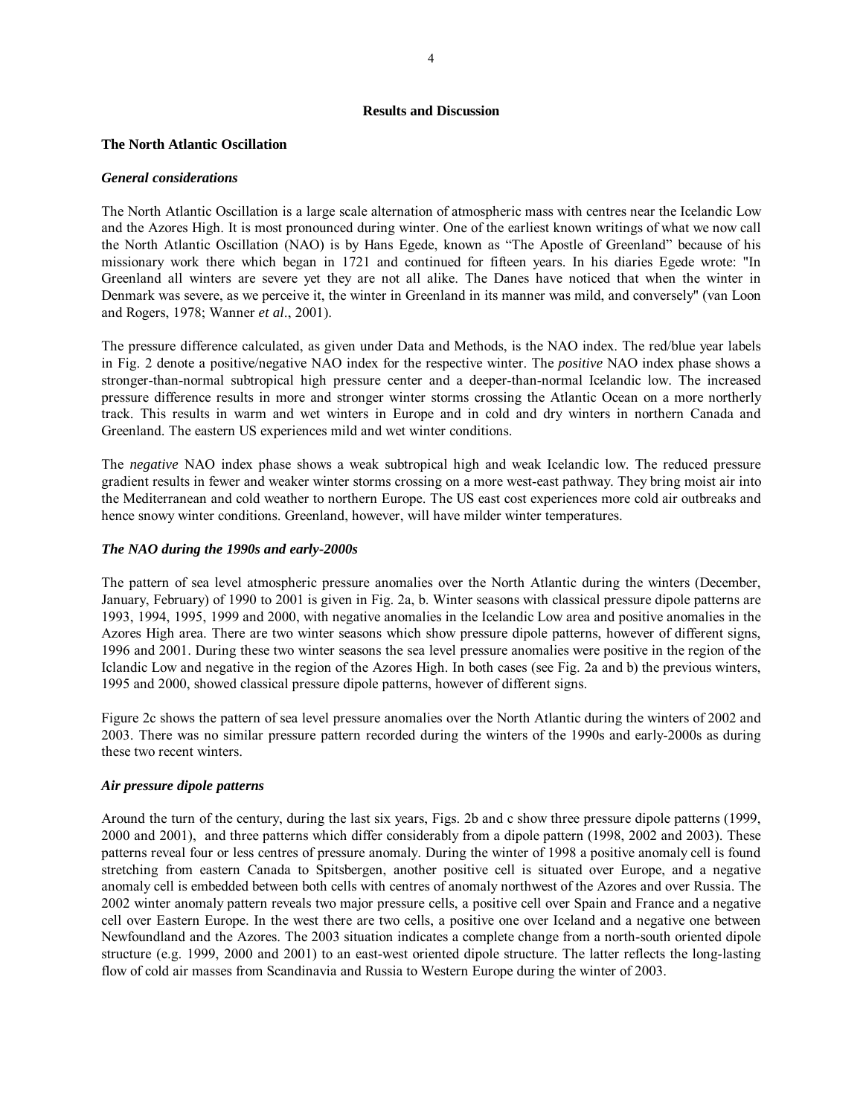#### **Results and Discussion**

### **The North Atlantic Oscillation**

### *General considerations*

The North Atlantic Oscillation is a large scale alternation of atmospheric mass with centres near the Icelandic Low and the Azores High. It is most pronounced during winter. One of the earliest known writings of what we now call the North Atlantic Oscillation (NAO) is by Hans Egede, known as "The Apostle of Greenland" because of his missionary work there which began in 1721 and continued for fifteen years. In his diaries Egede wrote: "In Greenland all winters are severe yet they are not all alike. The Danes have noticed that when the winter in Denmark was severe, as we perceive it, the winter in Greenland in its manner was mild, and conversely" (van Loon and Rogers, 1978; Wanner *et al*., 2001).

The pressure difference calculated, as given under Data and Methods, is the NAO index. The red/blue year labels in Fig. 2 denote a positive/negative NAO index for the respective winter. The *positive* NAO index phase shows a stronger-than-normal subtropical high pressure center and a deeper-than-normal Icelandic low. The increased pressure difference results in more and stronger winter storms crossing the Atlantic Ocean on a more northerly track. This results in warm and wet winters in Europe and in cold and dry winters in northern Canada and Greenland. The eastern US experiences mild and wet winter conditions.

The *negative* NAO index phase shows a weak subtropical high and weak Icelandic low. The reduced pressure gradient results in fewer and weaker winter storms crossing on a more west-east pathway. They bring moist air into the Mediterranean and cold weather to northern Europe. The US east cost experiences more cold air outbreaks and hence snowy winter conditions. Greenland, however, will have milder winter temperatures.

# *The NAO during the 1990s and early-2000s*

The pattern of sea level atmospheric pressure anomalies over the North Atlantic during the winters (December, January, February) of 1990 to 2001 is given in Fig. 2a, b. Winter seasons with classical pressure dipole patterns are 1993, 1994, 1995, 1999 and 2000, with negative anomalies in the Icelandic Low area and positive anomalies in the Azores High area. There are two winter seasons which show pressure dipole patterns, however of different signs, 1996 and 2001. During these two winter seasons the sea level pressure anomalies were positive in the region of the Iclandic Low and negative in the region of the Azores High. In both cases (see Fig. 2a and b) the previous winters, 1995 and 2000, showed classical pressure dipole patterns, however of different signs.

Figure 2c shows the pattern of sea level pressure anomalies over the North Atlantic during the winters of 2002 and 2003. There was no similar pressure pattern recorded during the winters of the 1990s and early-2000s as during these two recent winters.

# *Air pressure dipole patterns*

Around the turn of the century, during the last six years, Figs. 2b and c show three pressure dipole patterns (1999, 2000 and 2001), and three patterns which differ considerably from a dipole pattern (1998, 2002 and 2003). These patterns reveal four or less centres of pressure anomaly. During the winter of 1998 a positive anomaly cell is found stretching from eastern Canada to Spitsbergen, another positive cell is situated over Europe, and a negative anomaly cell is embedded between both cells with centres of anomaly northwest of the Azores and over Russia. The 2002 winter anomaly pattern reveals two major pressure cells, a positive cell over Spain and France and a negative cell over Eastern Europe. In the west there are two cells, a positive one over Iceland and a negative one between Newfoundland and the Azores. The 2003 situation indicates a complete change from a north-south oriented dipole structure (e.g. 1999, 2000 and 2001) to an east-west oriented dipole structure. The latter reflects the long-lasting flow of cold air masses from Scandinavia and Russia to Western Europe during the winter of 2003.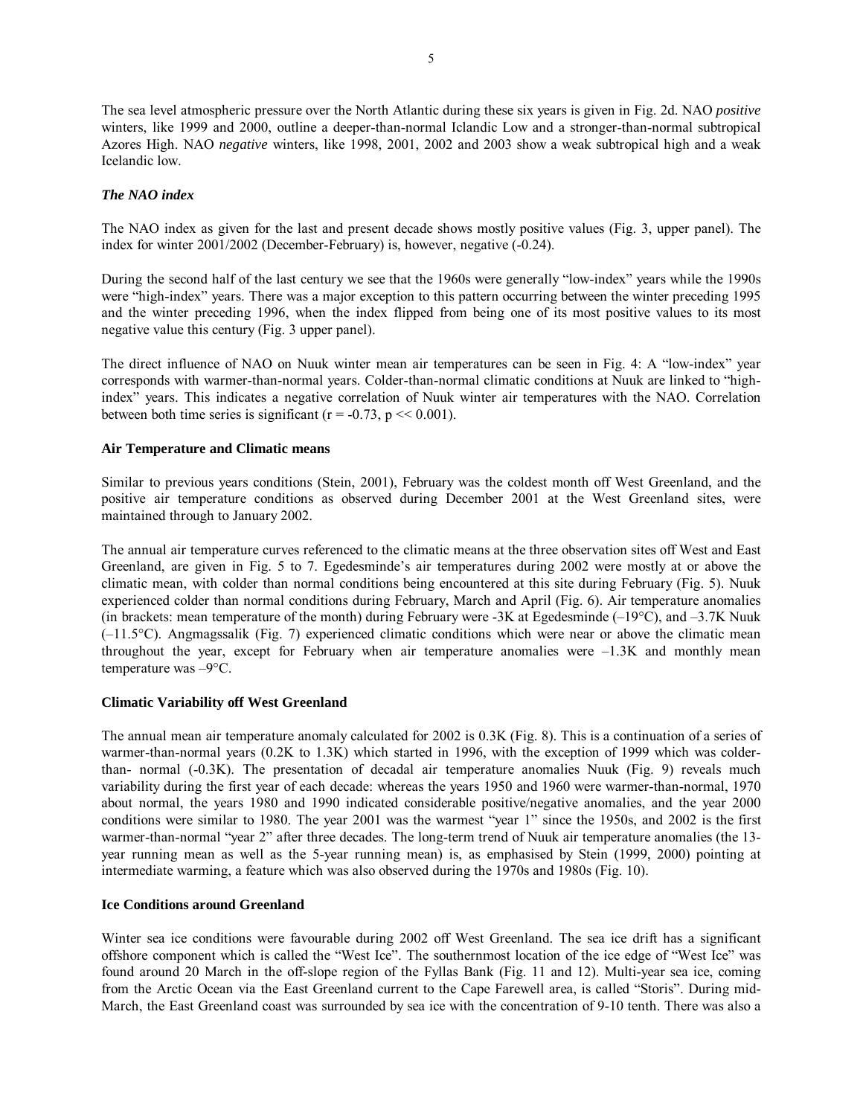The sea level atmospheric pressure over the North Atlantic during these six years is given in Fig. 2d. NAO *positive* winters, like 1999 and 2000, outline a deeper-than-normal Iclandic Low and a stronger-than-normal subtropical Azores High. NAO *negative* winters, like 1998, 2001, 2002 and 2003 show a weak subtropical high and a weak Icelandic low.

# *The NAO index*

The NAO index as given for the last and present decade shows mostly positive values (Fig. 3, upper panel). The index for winter 2001/2002 (December-February) is, however, negative (-0.24).

During the second half of the last century we see that the 1960s were generally "low-index" years while the 1990s were "high-index" years. There was a major exception to this pattern occurring between the winter preceding 1995 and the winter preceding 1996, when the index flipped from being one of its most positive values to its most negative value this century (Fig. 3 upper panel).

The direct influence of NAO on Nuuk winter mean air temperatures can be seen in Fig. 4: A "low-index" year corresponds with warmer-than-normal years. Colder-than-normal climatic conditions at Nuuk are linked to "highindexî years. This indicates a negative correlation of Nuuk winter air temperatures with the NAO. Correlation between both time series is significant ( $r = -0.73$ ,  $p \ll 0.001$ ).

# **Air Temperature and Climatic means**

Similar to previous years conditions (Stein, 2001), February was the coldest month off West Greenland, and the positive air temperature conditions as observed during December 2001 at the West Greenland sites, were maintained through to January 2002.

The annual air temperature curves referenced to the climatic means at the three observation sites off West and East Greenland, are given in Fig. 5 to 7. Egedesminde's air temperatures during 2002 were mostly at or above the climatic mean, with colder than normal conditions being encountered at this site during February (Fig. 5). Nuuk experienced colder than normal conditions during February, March and April (Fig. 6). Air temperature anomalies (in brackets: mean temperature of the month) during February were -3K at Egedesminde  $(-19^{\circ}C)$ , and  $-3.7K$  Nuuk  $(-11.5^{\circ}C)$ . Angmagssalik (Fig. 7) experienced climatic conditions which were near or above the climatic mean throughout the year, except for February when air temperature anomalies were  $-1.3K$  and monthly mean temperature was  $-9^{\circ}$ C.

### **Climatic Variability off West Greenland**

The annual mean air temperature anomaly calculated for 2002 is 0.3K (Fig. 8). This is a continuation of a series of warmer-than-normal years (0.2K to 1.3K) which started in 1996, with the exception of 1999 which was colderthan- normal (-0.3K). The presentation of decadal air temperature anomalies Nuuk (Fig. 9) reveals much variability during the first year of each decade: whereas the years 1950 and 1960 were warmer-than-normal, 1970 about normal, the years 1980 and 1990 indicated considerable positive/negative anomalies, and the year 2000 conditions were similar to 1980. The year 2001 was the warmest "year 1" since the 1950s, and 2002 is the first warmer-than-normal "year 2" after three decades. The long-term trend of Nuuk air temperature anomalies (the 13year running mean as well as the 5-year running mean) is, as emphasised by Stein (1999, 2000) pointing at intermediate warming, a feature which was also observed during the 1970s and 1980s (Fig. 10).

### **Ice Conditions around Greenland**

Winter sea ice conditions were favourable during 2002 off West Greenland. The sea ice drift has a significant offshore component which is called the "West Ice". The southernmost location of the ice edge of "West Ice" was found around 20 March in the off-slope region of the Fyllas Bank (Fig. 11 and 12). Multi-year sea ice, coming from the Arctic Ocean via the East Greenland current to the Cape Farewell area, is called "Storis". During mid-March, the East Greenland coast was surrounded by sea ice with the concentration of 9-10 tenth. There was also a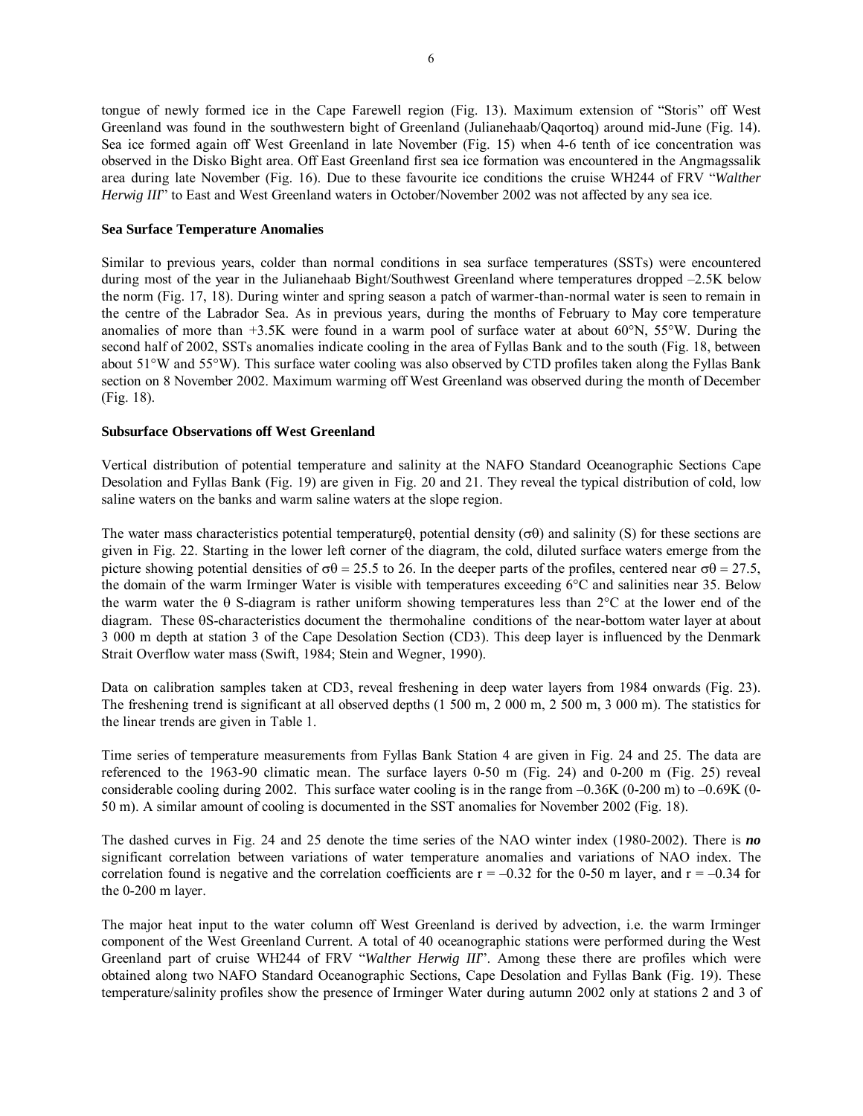tongue of newly formed ice in the Cape Farewell region (Fig. 13). Maximum extension of "Storis" off West Greenland was found in the southwestern bight of Greenland (Julianehaab/Qaqortoq) around mid-June (Fig. 14). Sea ice formed again off West Greenland in late November (Fig. 15) when 4-6 tenth of ice concentration was observed in the Disko Bight area. Off East Greenland first sea ice formation was encountered in the Angmagssalik area during late November (Fig. 16). Due to these favourite ice conditions the cruise WH244 of FRV *<sup><i>walther*</sup> *Herwig III*<sup>n</sup> to East and West Greenland waters in October/November 2002 was not affected by any sea ice.

### **Sea Surface Temperature Anomalies**

Similar to previous years, colder than normal conditions in sea surface temperatures (SSTs) were encountered during most of the year in the Julianehaab Bight/Southwest Greenland where temperatures dropped -2.5K below the norm (Fig. 17, 18). During winter and spring season a patch of warmer-than-normal water is seen to remain in the centre of the Labrador Sea. As in previous years, during the months of February to May core temperature anomalies of more than +3.5K were found in a warm pool of surface water at about 60°N, 55°W. During the second half of 2002, SSTs anomalies indicate cooling in the area of Fyllas Bank and to the south (Fig. 18, between about 51°W and 55°W). This surface water cooling was also observed by CTD profiles taken along the Fyllas Bank section on 8 November 2002. Maximum warming off West Greenland was observed during the month of December (Fig. 18).

# **Subsurface Observations off West Greenland**

Vertical distribution of potential temperature and salinity at the NAFO Standard Oceanographic Sections Cape Desolation and Fyllas Bank (Fig. 19) are given in Fig. 20 and 21. They reveal the typical distribution of cold, low saline waters on the banks and warm saline waters at the slope region.

The water mass characteristics potential temperatureθ, potential density  $(\sigma \theta)$  and salinity (S) for these sections are given in Fig. 22. Starting in the lower left corner of the diagram, the cold, diluted surface waters emerge from the picture showing potential densities of  $\sigma\theta = 25.5$  to 26. In the deeper parts of the profiles, centered near  $\sigma\theta = 27.5$ , the domain of the warm Irminger Water is visible with temperatures exceeding 6°C and salinities near 35. Below the warm water the θ S-diagram is rather uniform showing temperatures less than 2°C at the lower end of the diagram. These θS-characteristics document the thermohaline conditions of the near-bottom water layer at about 3 000 m depth at station 3 of the Cape Desolation Section (CD3). This deep layer is influenced by the Denmark Strait Overflow water mass (Swift, 1984; Stein and Wegner, 1990).

Data on calibration samples taken at CD3, reveal freshening in deep water layers from 1984 onwards (Fig. 23). The freshening trend is significant at all observed depths (1 500 m, 2 000 m, 2 500 m, 3 000 m). The statistics for the linear trends are given in Table 1.

Time series of temperature measurements from Fyllas Bank Station 4 are given in Fig. 24 and 25. The data are referenced to the 1963-90 climatic mean. The surface layers 0-50 m (Fig. 24) and 0-200 m (Fig. 25) reveal considerable cooling during 2002. This surface water cooling is in the range from  $-0.36K$  (0-200 m) to  $-0.69K$  (0-50 m). A similar amount of cooling is documented in the SST anomalies for November 2002 (Fig. 18).

The dashed curves in Fig. 24 and 25 denote the time series of the NAO winter index (1980-2002). There is *no* significant correlation between variations of water temperature anomalies and variations of NAO index. The correlation found is negative and the correlation coefficients are  $r = -0.32$  for the 0-50 m layer, and  $r = -0.34$  for the 0-200 m layer.

The major heat input to the water column off West Greenland is derived by advection, i.e. the warm Irminger component of the West Greenland Current. A total of 40 oceanographic stations were performed during the West Greenland part of cruise WH244 of FRV "*Walther Herwig III*". Among these there are profiles which were obtained along two NAFO Standard Oceanographic Sections, Cape Desolation and Fyllas Bank (Fig. 19). These temperature/salinity profiles show the presence of Irminger Water during autumn 2002 only at stations 2 and 3 of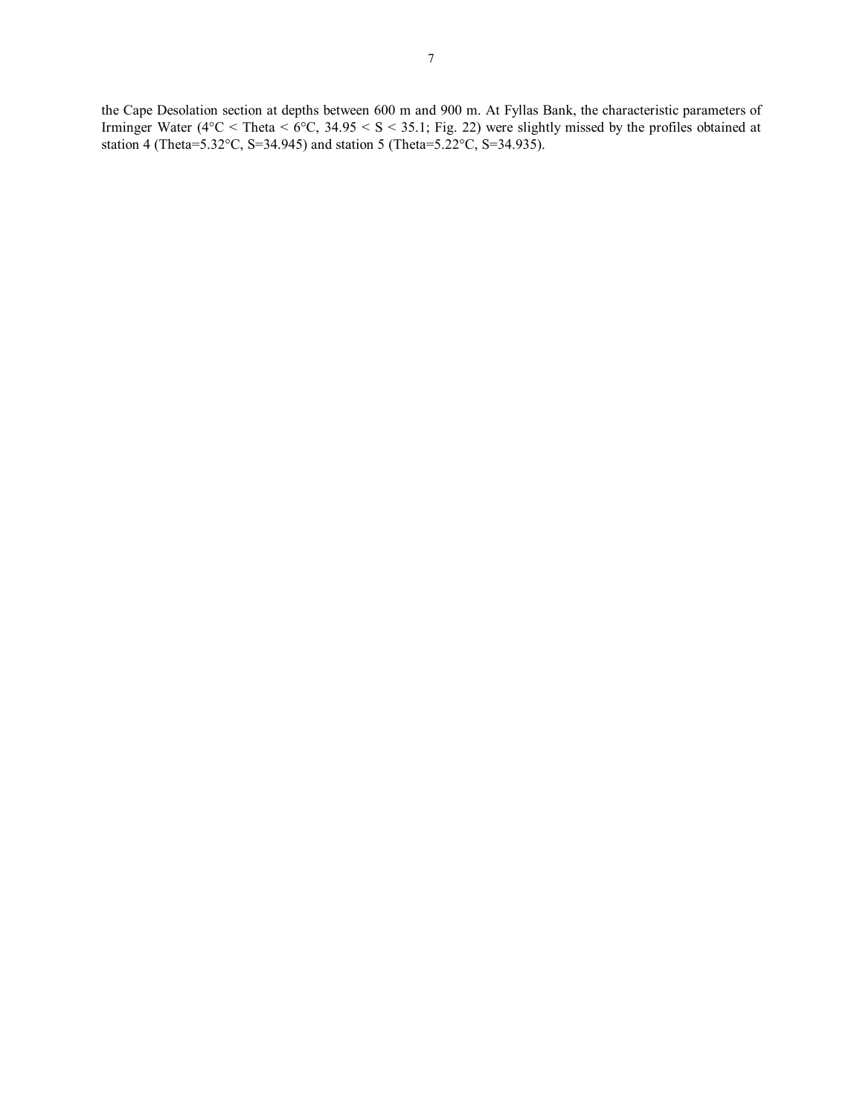the Cape Desolation section at depths between 600 m and 900 m. At Fyllas Bank, the characteristic parameters of Irminger Water ( $4^{\circ}$ C < Theta <  $6^{\circ}$ C, 34.95 < S < 35.1; Fig. 22) were slightly missed by the profiles obtained at station 4 (Theta=5.32°C, S=34.945) and station 5 (Theta=5.22°C, S=34.935).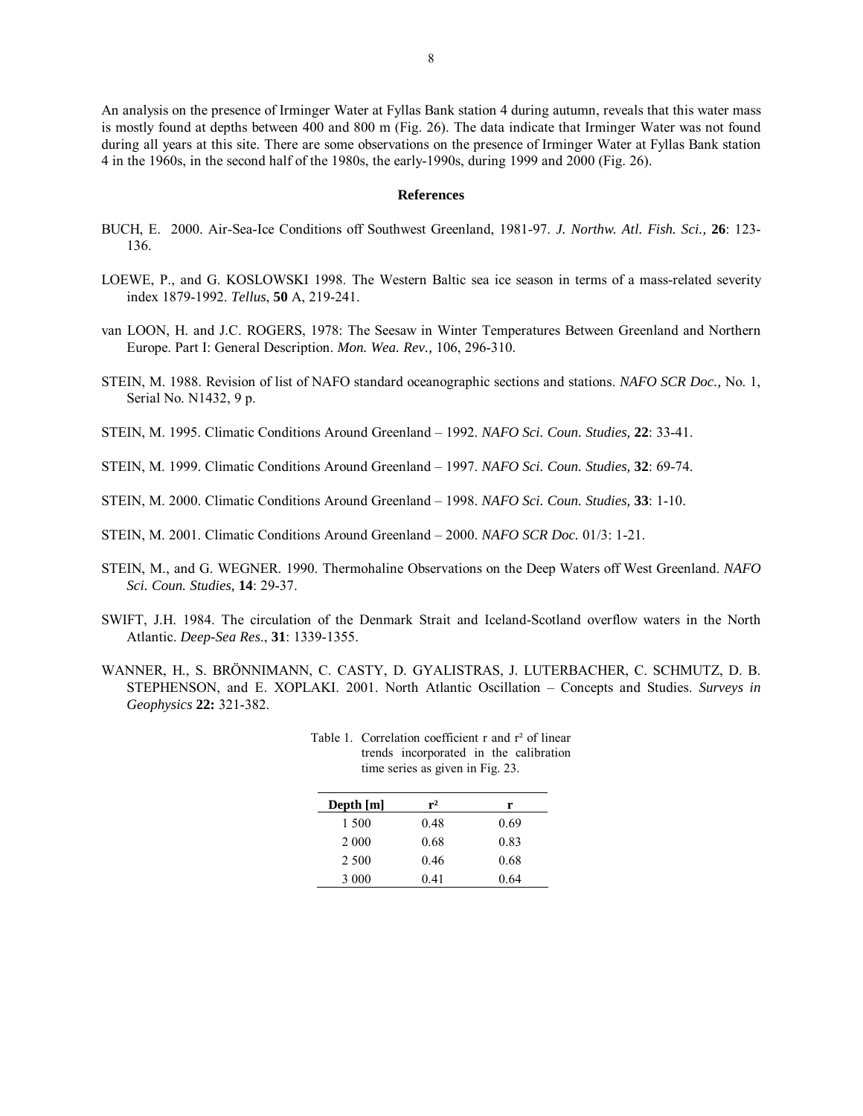An analysis on the presence of Irminger Water at Fyllas Bank station 4 during autumn, reveals that this water mass is mostly found at depths between 400 and 800 m (Fig. 26). The data indicate that Irminger Water was not found during all years at this site. There are some observations on the presence of Irminger Water at Fyllas Bank station 4 in the 1960s, in the second half of the 1980s, the early-1990s, during 1999 and 2000 (Fig. 26).

#### **References**

- BUCH, E. 2000. Air-Sea-Ice Conditions off Southwest Greenland, 1981-97. *J. Northw. Atl. Fish. Sci.,* **26**: 123- 136.
- LOEWE, P., and G. KOSLOWSKI 1998. The Western Baltic sea ice season in terms of a mass-related severity index 1879-1992. *Tellus*, **50** A, 219-241.
- van LOON, H. and J.C. ROGERS, 1978: The Seesaw in Winter Temperatures Between Greenland and Northern Europe. Part I: General Description. *Mon. Wea. Rev.,* 106, 296-310.
- STEIN, M. 1988. Revision of list of NAFO standard oceanographic sections and stations. *NAFO SCR Doc.,* No. 1, Serial No. N1432, 9 p.
- STEIN, M. 1995. Climatic Conditions Around Greenland 1992. *NAFO Sci. Coun. Studies*, 22: 33-41.
- STEIN, M. 1999. Climatic Conditions Around Greenland 1997. *NAFO Sci. Coun. Studies*, 32: 69-74.
- STEIN, M. 2000. Climatic Conditions Around Greenland 1998. *NAFO Sci. Coun. Studies*, 33: 1-10.
- STEIN, M. 2001. Climatic Conditions Around Greenland 2000. *NAFO SCR Doc.* 01/3: 1-21.
- STEIN, M., and G. WEGNER. 1990. Thermohaline Observations on the Deep Waters off West Greenland. *NAFO Sci. Coun. Studies,* **14**: 29-37.
- SWIFT, J.H. 1984. The circulation of the Denmark Strait and Iceland-Scotland overflow waters in the North Atlantic. *Deep-Sea Res*., **31**: 1339-1355.
- WANNER, H., S. BRÖNNIMANN, C. CASTY, D. GYALISTRAS, J. LUTERBACHER, C. SCHMUTZ, D. B. STEPHENSON, and E. XOPLAKI. 2001. North Atlantic Oscillation - Concepts and Studies. *Surveys in Geophysics* **22:** 321-382.

| Depth $[m]$ | $r^2$ | r    |
|-------------|-------|------|
| 1 500       | 0.48  | 0.69 |
| 2 0 0 0     | 0.68  | 0.83 |
| 2 500       | 0.46  | 0.68 |
| 3 0 0 0     | 0.41  | 0.64 |

| Table 1. Correlation coefficient r and $r^2$ of linear |  |
|--------------------------------------------------------|--|
| trends incorporated in the calibration                 |  |
| time series as given in Fig. 23.                       |  |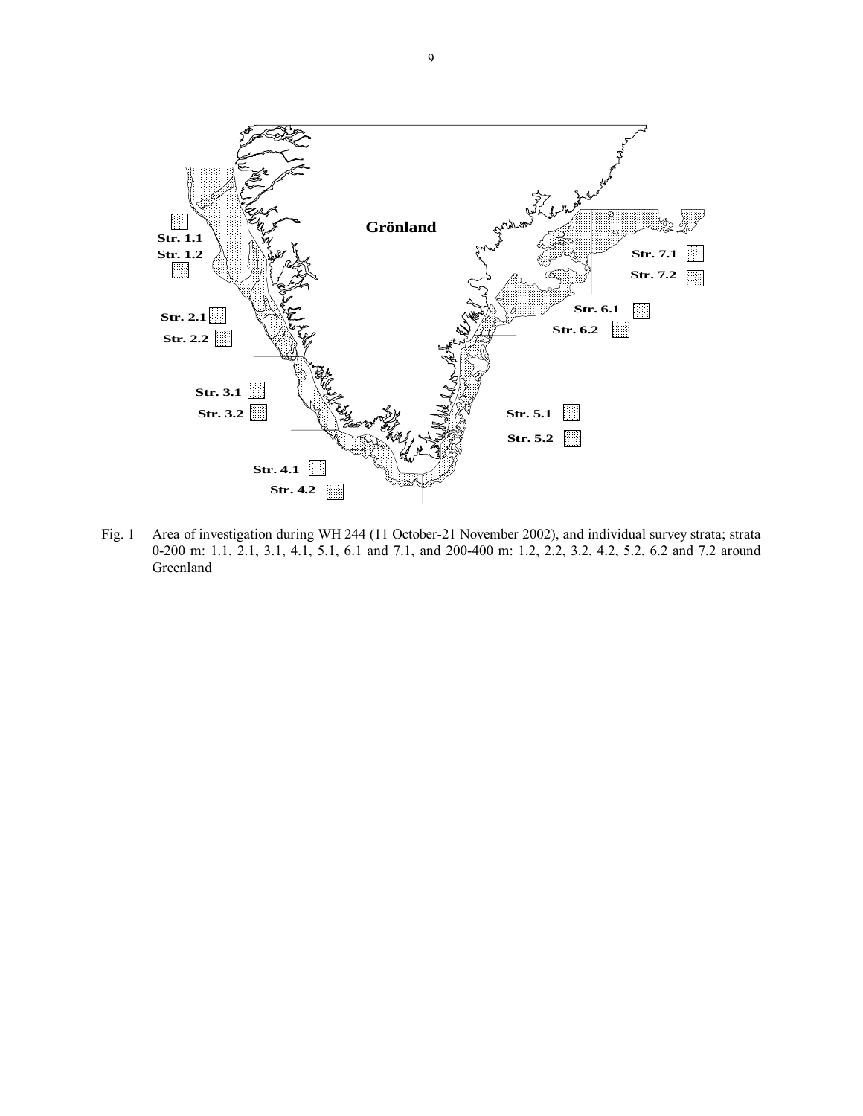

Fig. 1 Area of investigation during WH 244 (11 October-21 November 2002), and individual survey strata; strata 0-200 m: 1.1, 2.1, 3.1, 4.1, 5.1, 6.1 and 7.1, and 200-400 m: 1.2, 2.2, 3.2, 4.2, 5.2, 6.2 and 7.2 around Greenland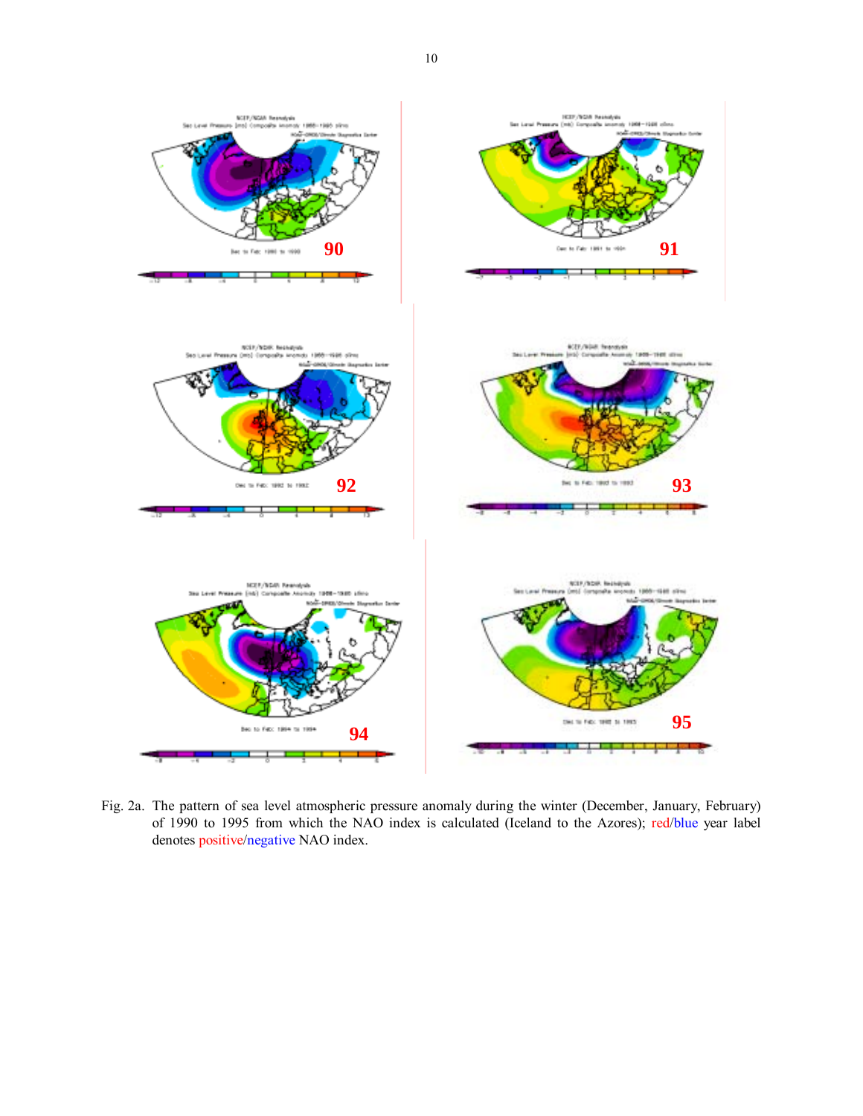

Fig. 2a. The pattern of sea level atmospheric pressure anomaly during the winter (December, January, February) of 1990 to 1995 from which the NAO index is calculated (Iceland to the Azores); red/blue year label denotes positive/negative NAO index.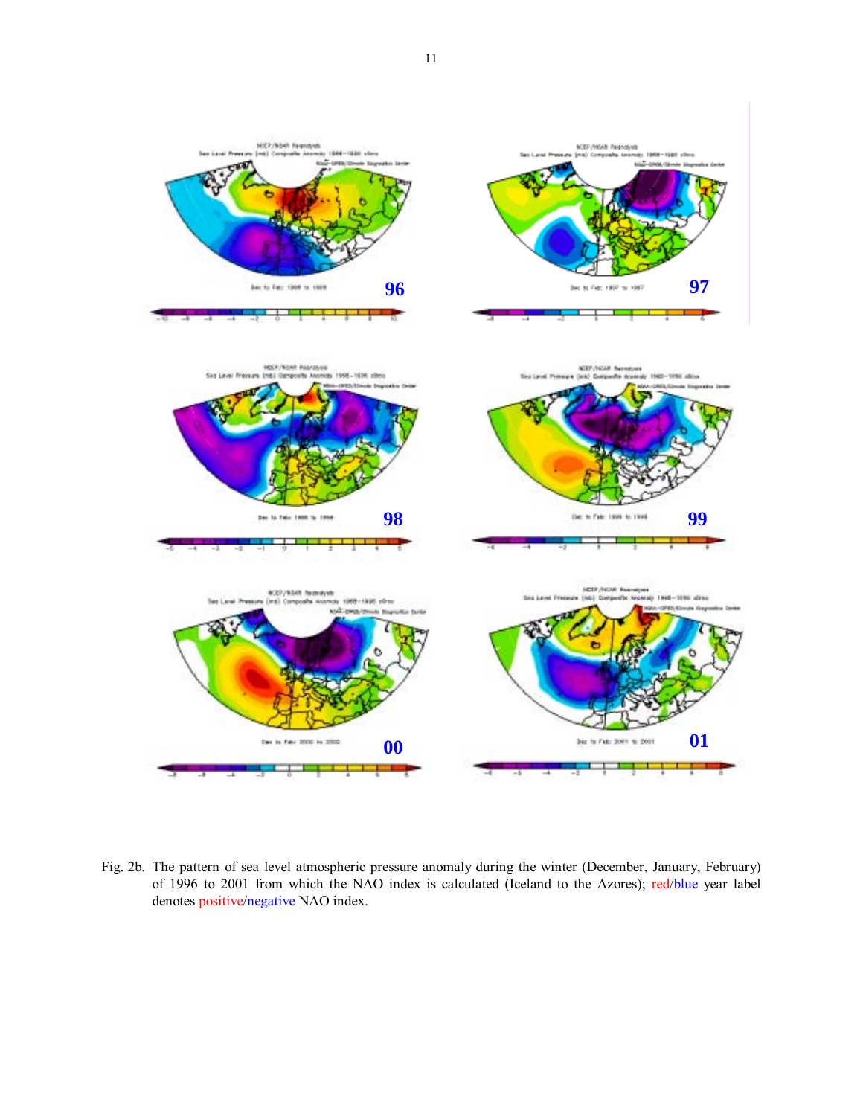

Fig. 2b. The pattern of sea level atmospheric pressure anomaly during the winter (December, January, February) of 1996 to 2001 from which the NAO index is calculated (Iceland to the Azores); red/blue year label denotes positive/negative NAO index.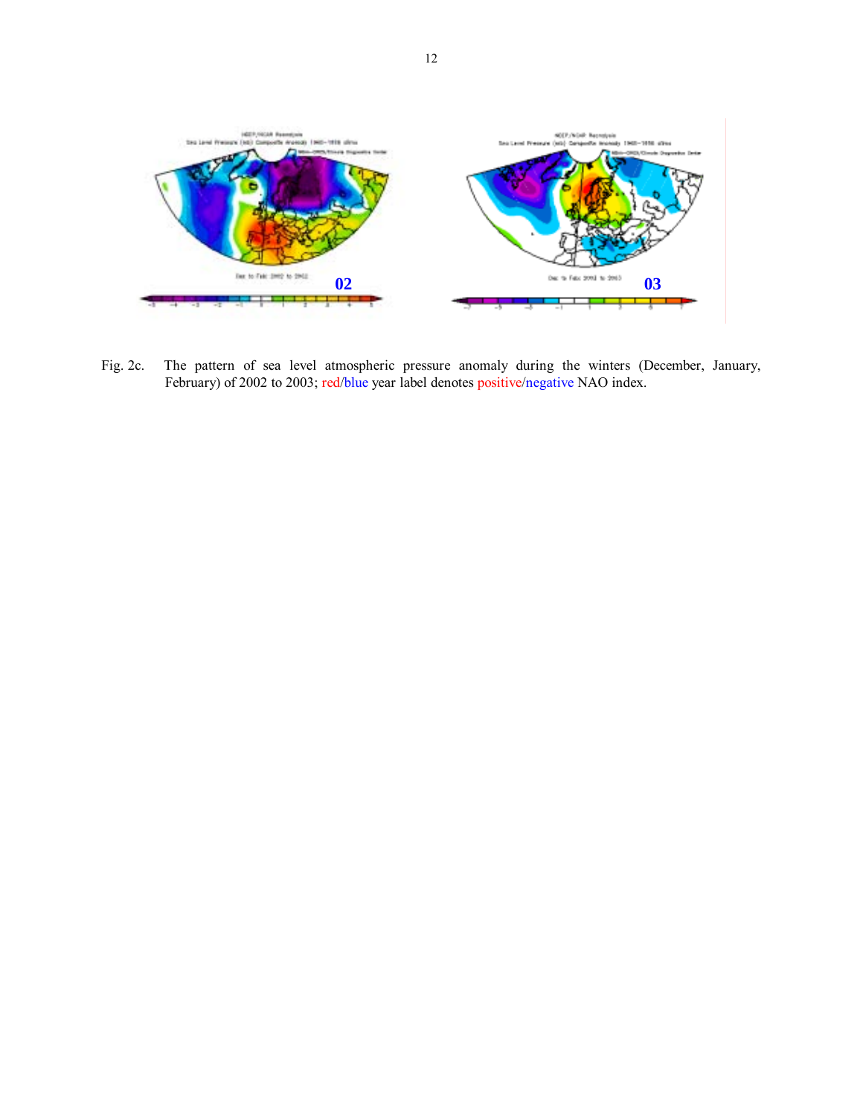

Fig. 2c. The pattern of sea level atmospheric pressure anomaly during the winters (December, January, February) of 2002 to 2003; red/blue year label denotes positive/negative NAO index.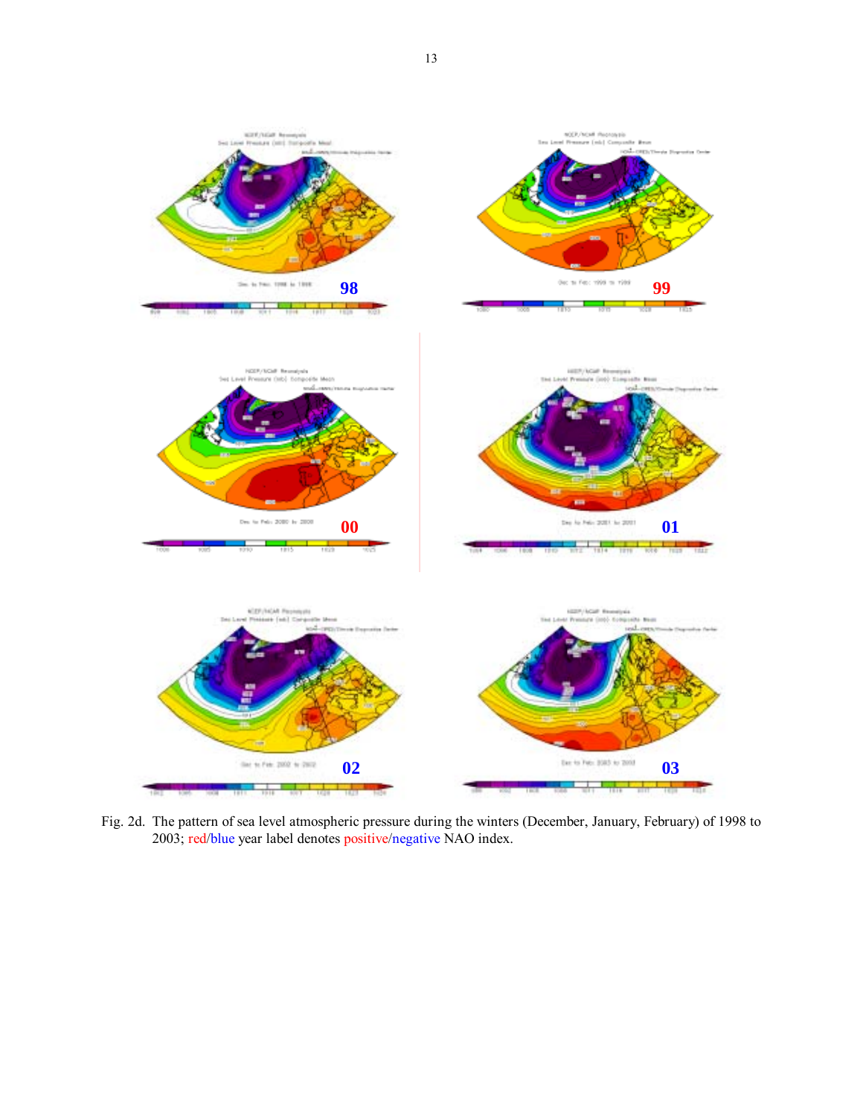

Fig. 2d. The pattern of sea level atmospheric pressure during the winters (December, January, February) of 1998 to 2003; red/blue year label denotes positive/negative NAO index.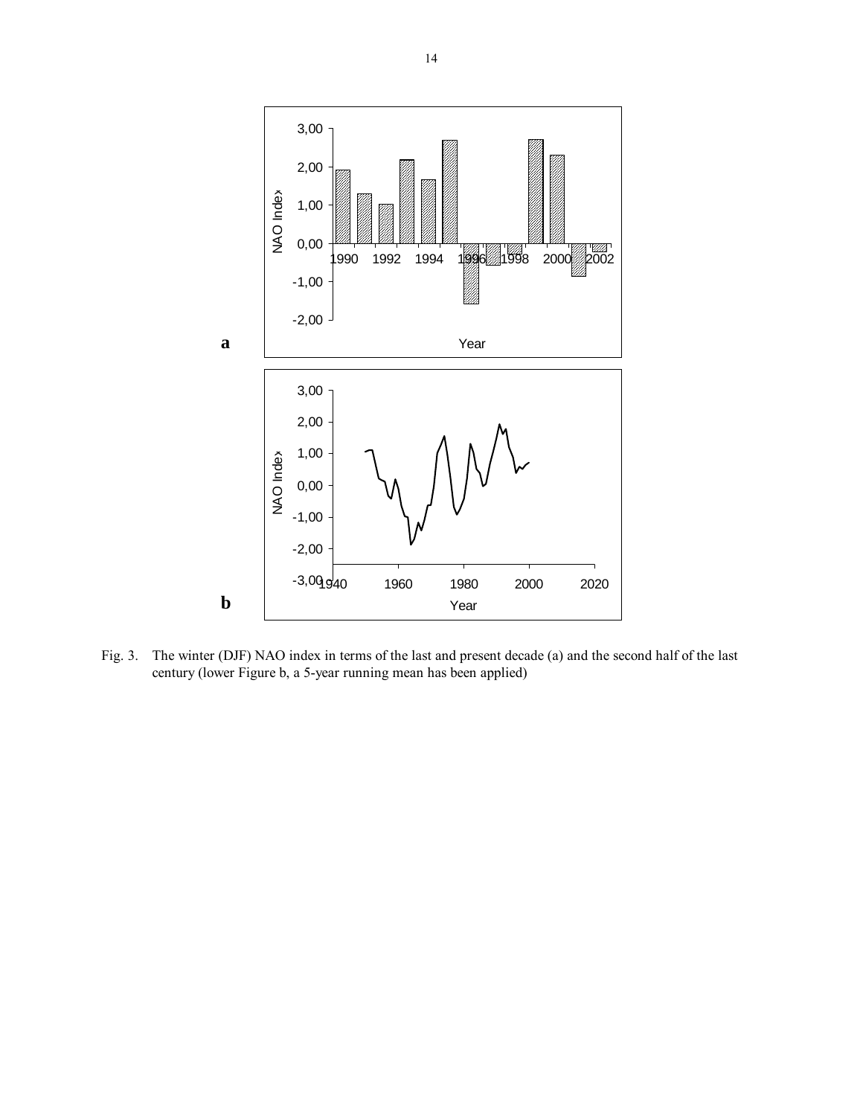

Fig. 3. The winter (DJF) NAO index in terms of the last and present decade (a) and the second half of the last century (lower Figure b, a 5-year running mean has been applied)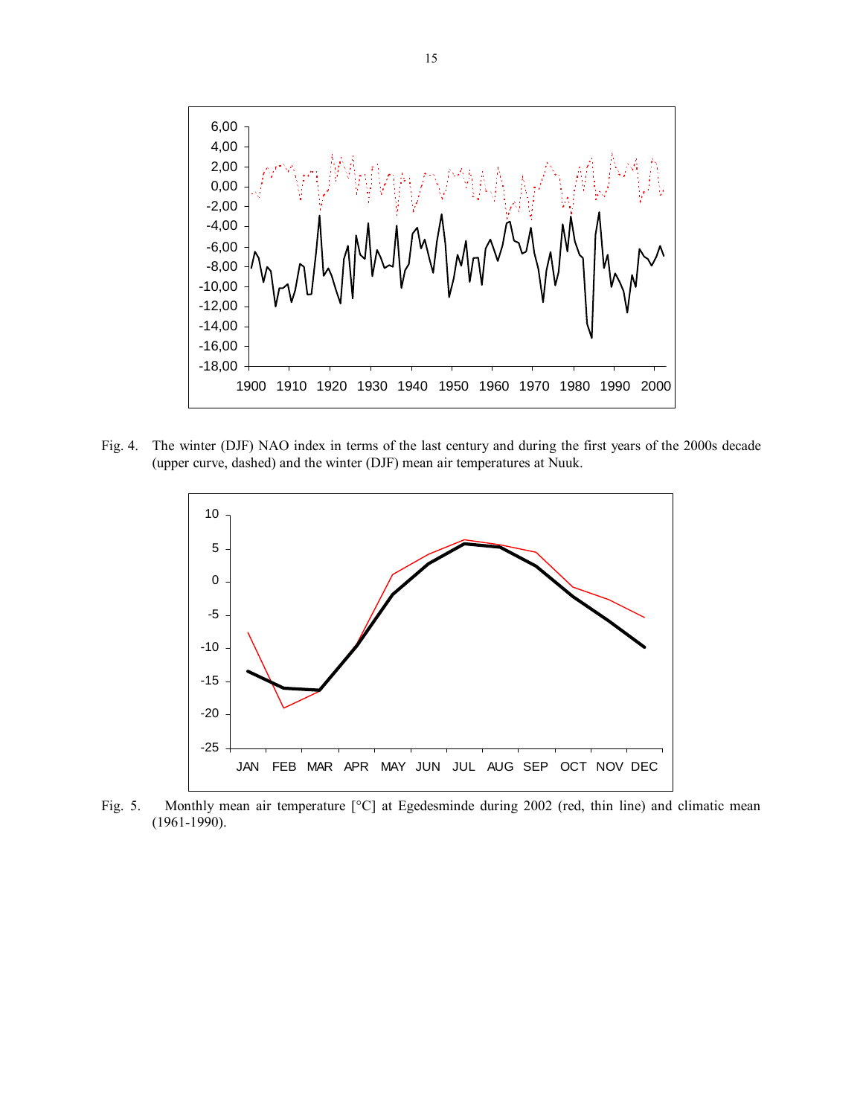

Fig. 4. The winter (DJF) NAO index in terms of the last century and during the first years of the 2000s decade (upper curve, dashed) and the winter (DJF) mean air temperatures at Nuuk.



Fig. 5. Monthly mean air temperature [°C] at Egedesminde during 2002 (red, thin line) and climatic mean (1961-1990).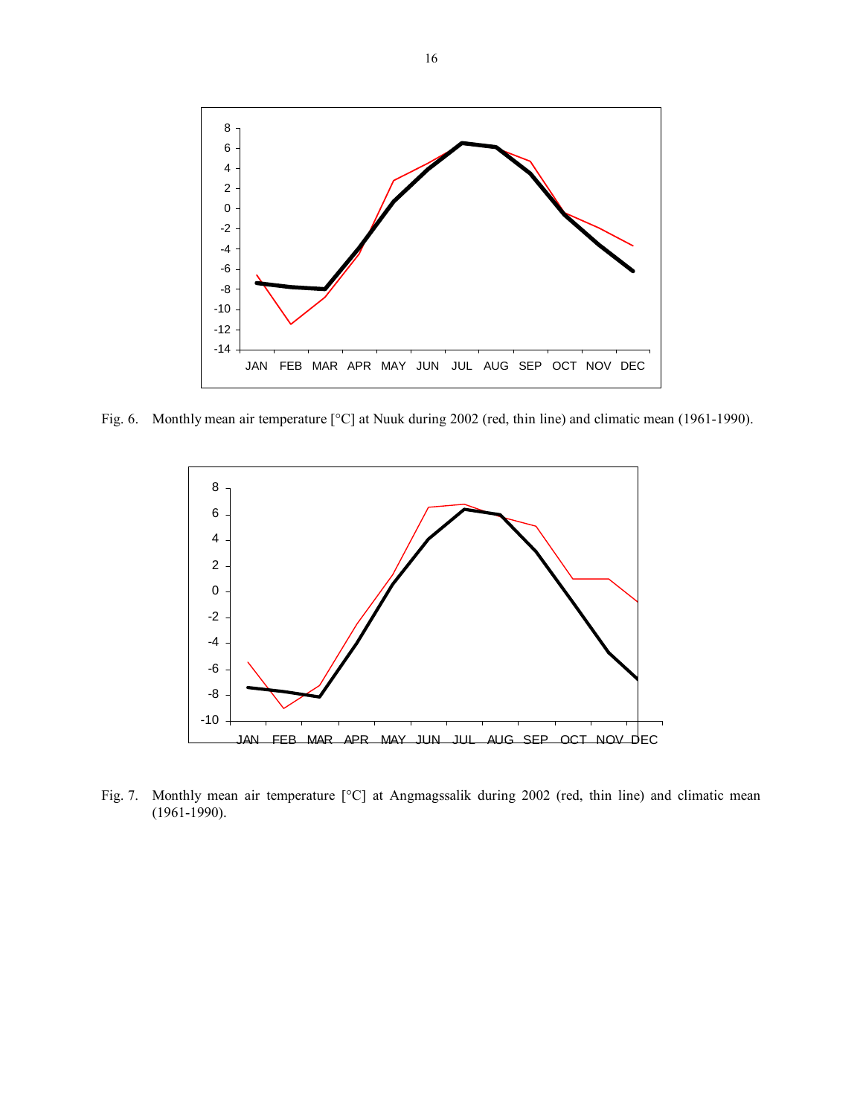

Fig. 6. Monthly mean air temperature [°C] at Nuuk during 2002 (red, thin line) and climatic mean (1961-1990).



Fig. 7. Monthly mean air temperature [°C] at Angmagssalik during 2002 (red, thin line) and climatic mean (1961-1990).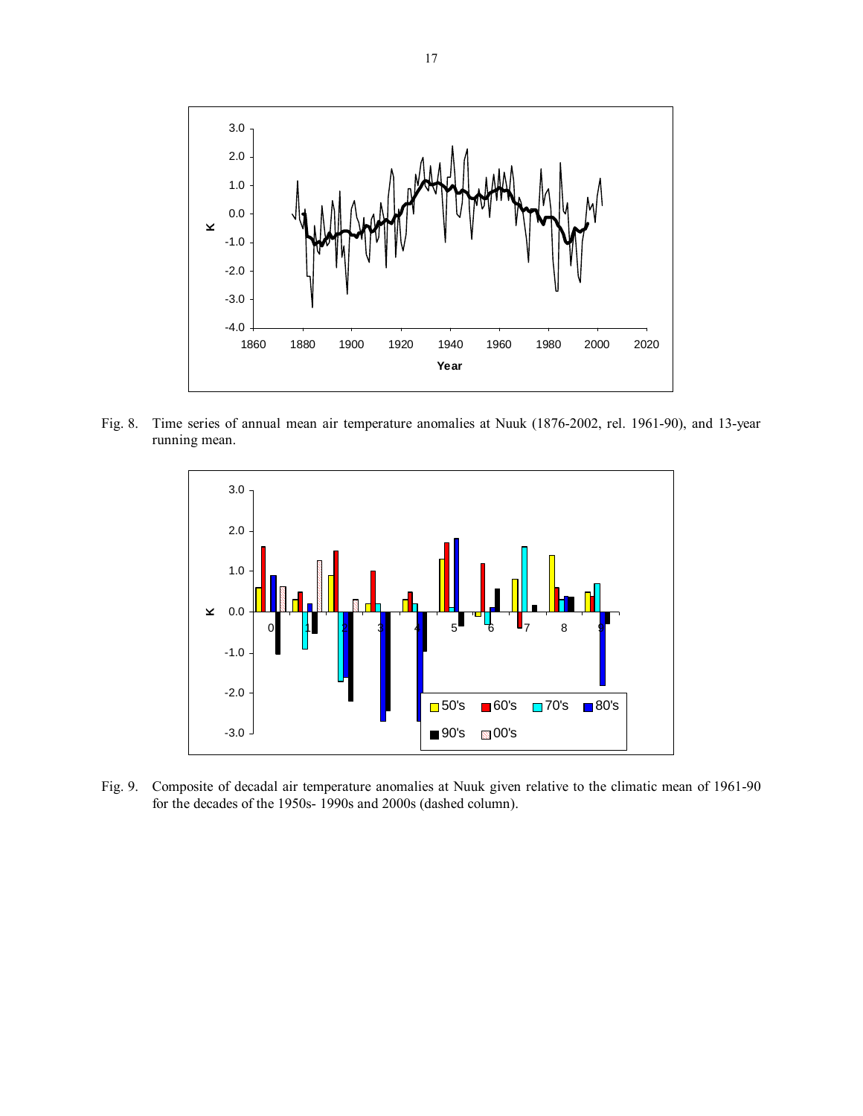

Fig. 8. Time series of annual mean air temperature anomalies at Nuuk (1876-2002, rel. 1961-90), and 13-year running mean.



Fig. 9. Composite of decadal air temperature anomalies at Nuuk given relative to the climatic mean of 1961-90 for the decades of the 1950s- 1990s and 2000s (dashed column).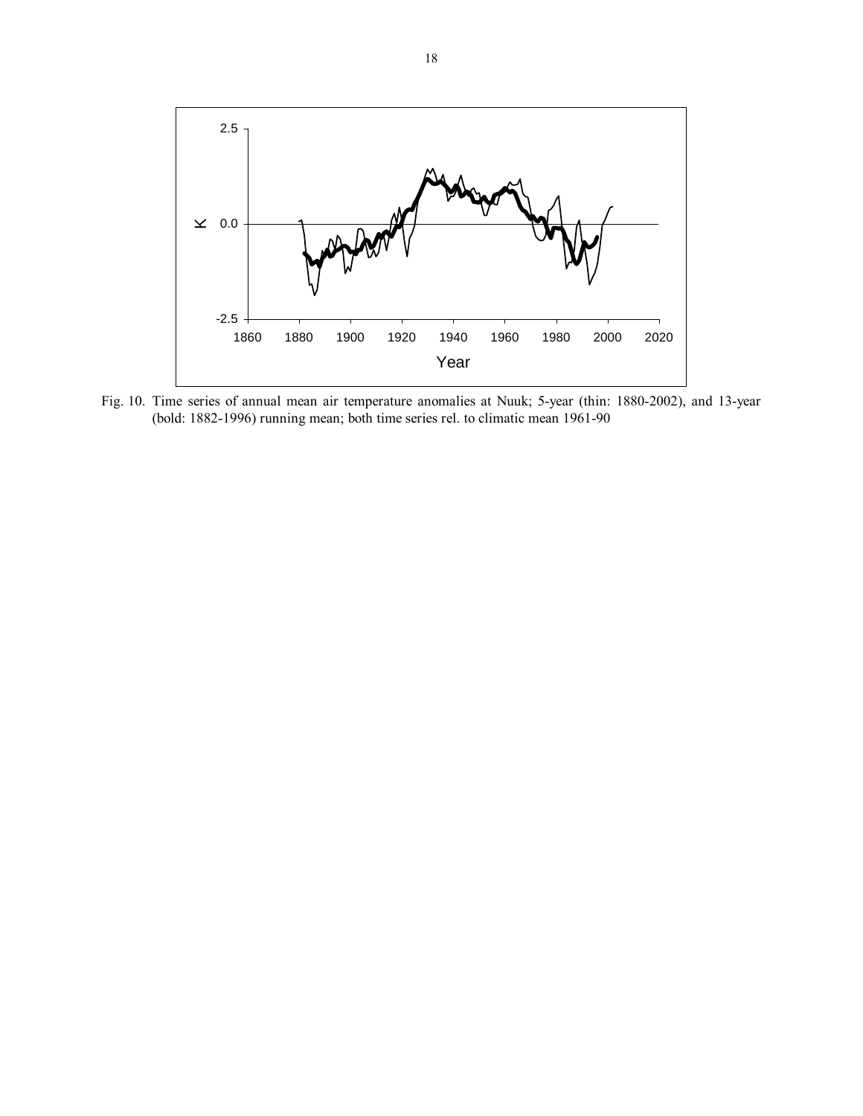

Fig. 10. Time series of annual mean air temperature anomalies at Nuuk; 5-year (thin: 1880-2002), and 13-year (bold: 1882-1996) running mean; both time series rel. to climatic mean 1961-90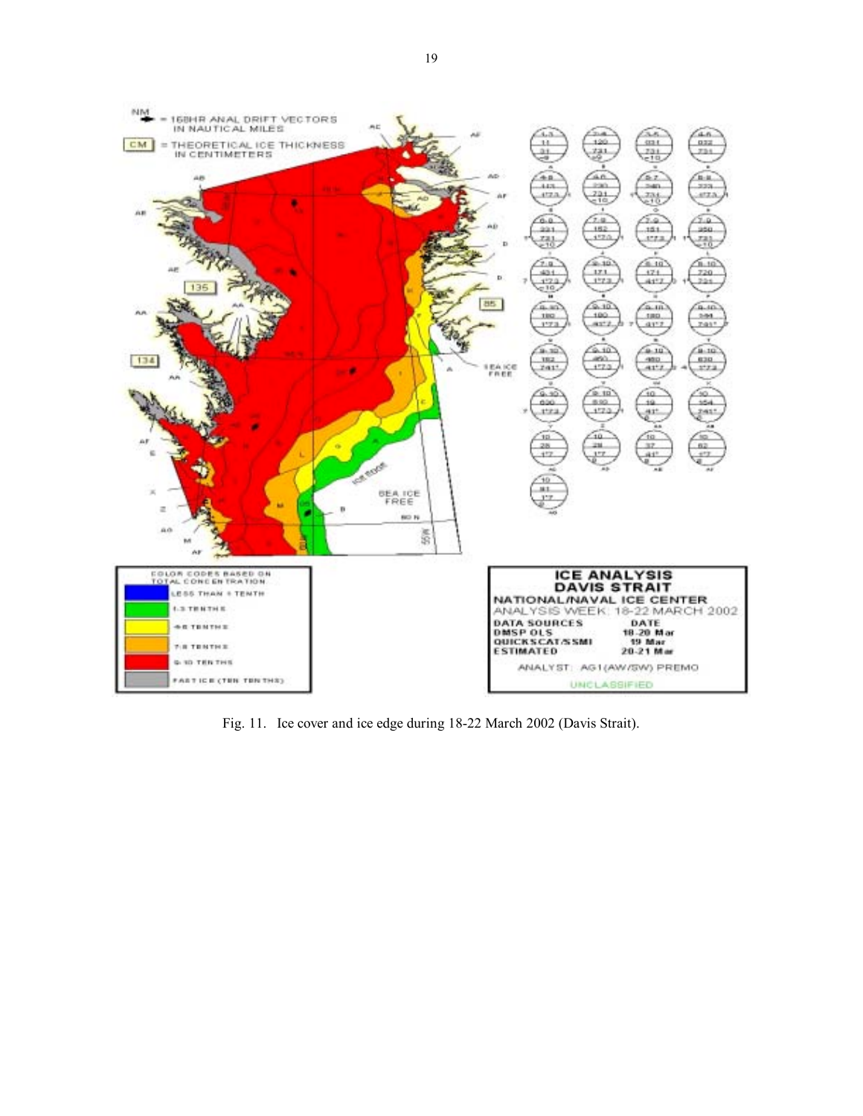

Fig. 11. Ice cover and ice edge during 18-22 March 2002 (Davis Strait).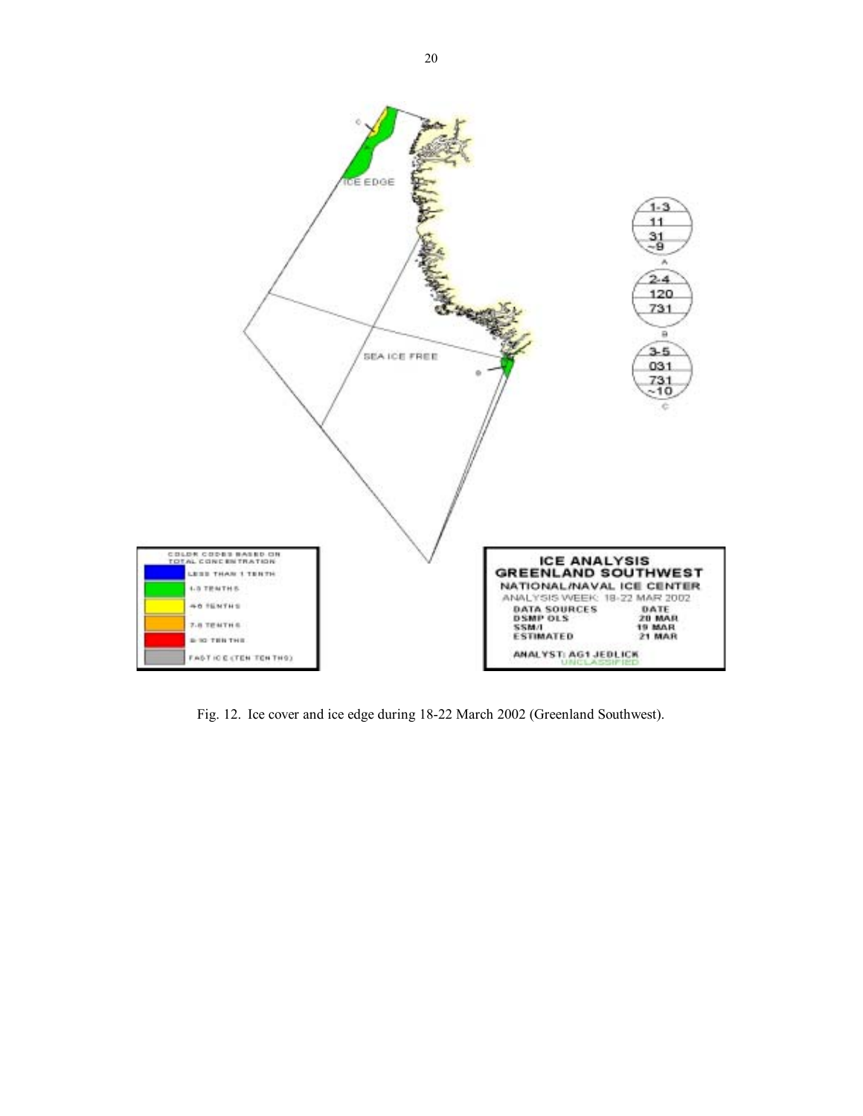

Fig. 12. Ice cover and ice edge during 18-22 March 2002 (Greenland Southwest).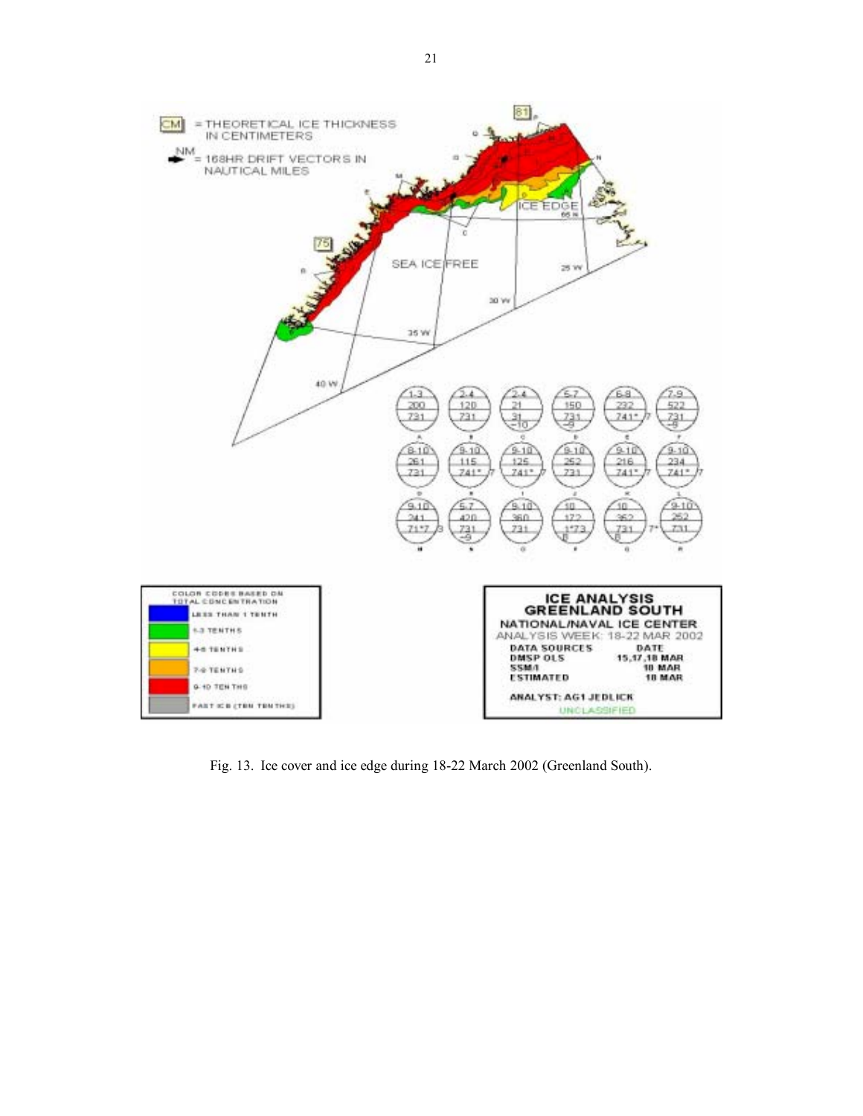

Fig. 13. Ice cover and ice edge during 18-22 March 2002 (Greenland South).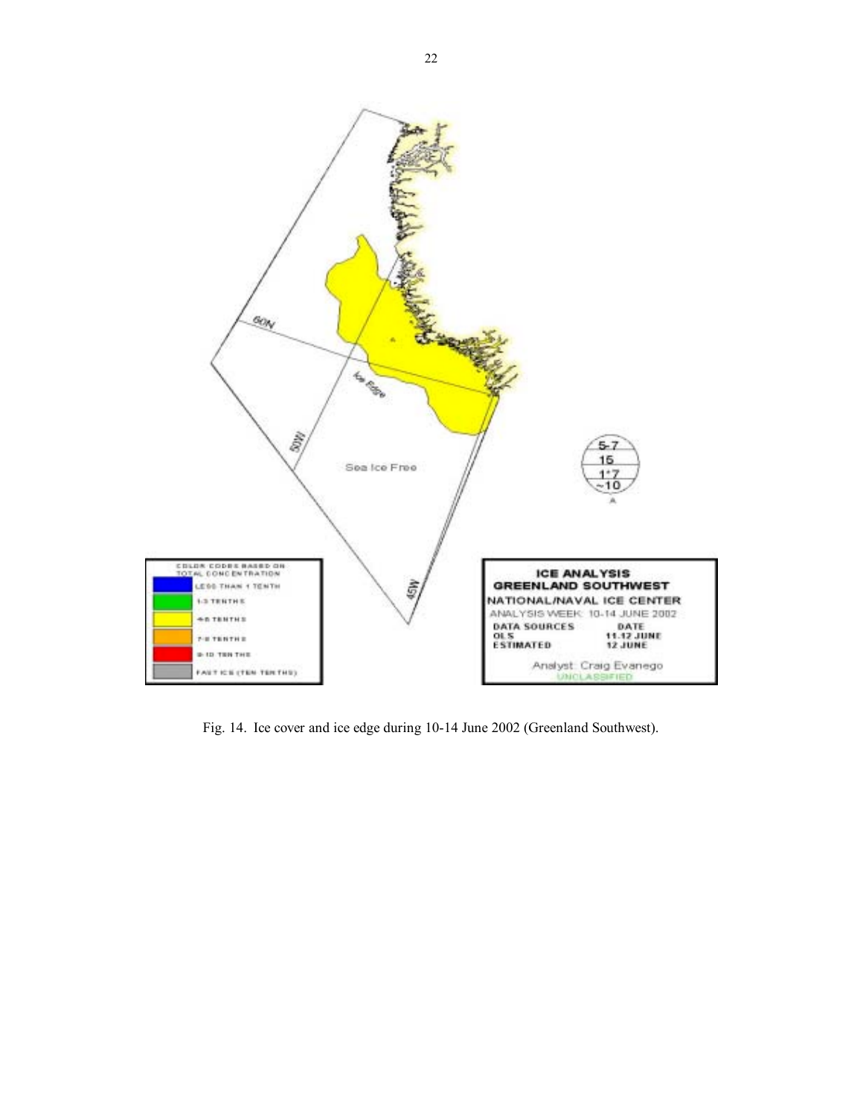

Fig. 14. Ice cover and ice edge during 10-14 June 2002 (Greenland Southwest).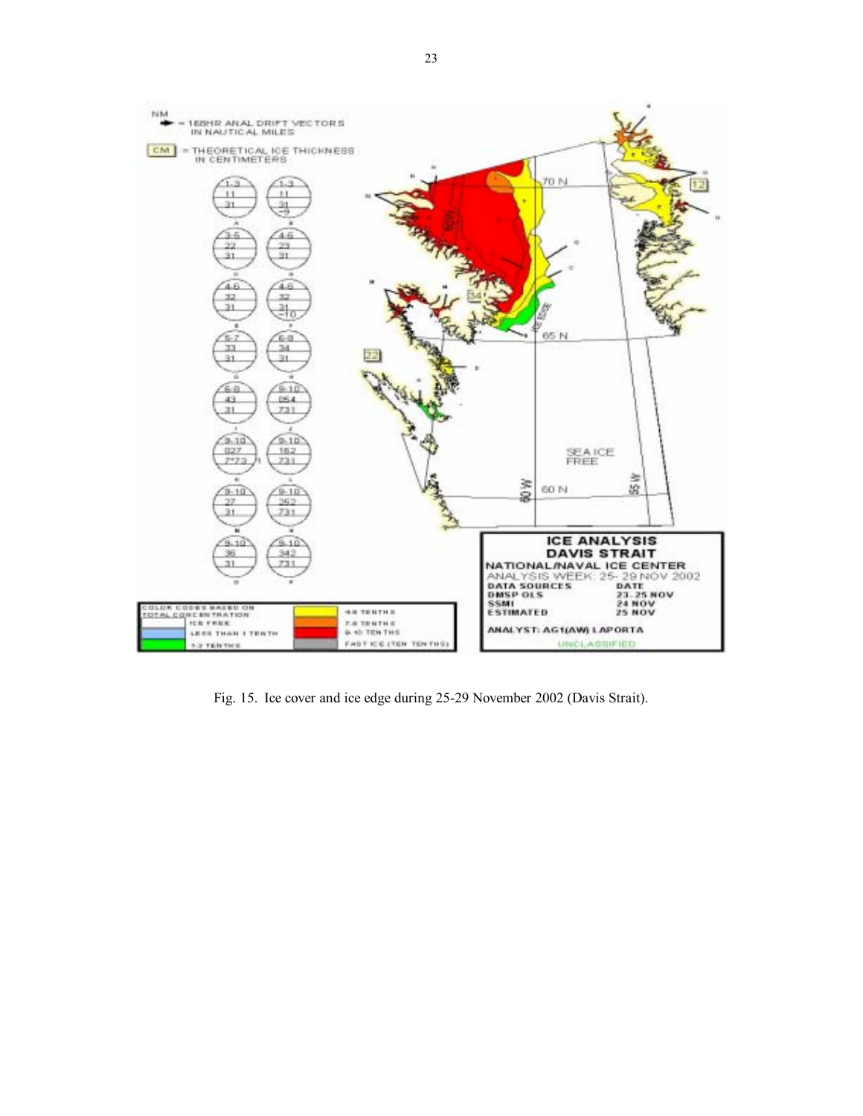

Fig. 15. Ice cover and ice edge during 25-29 November 2002 (Davis Strait).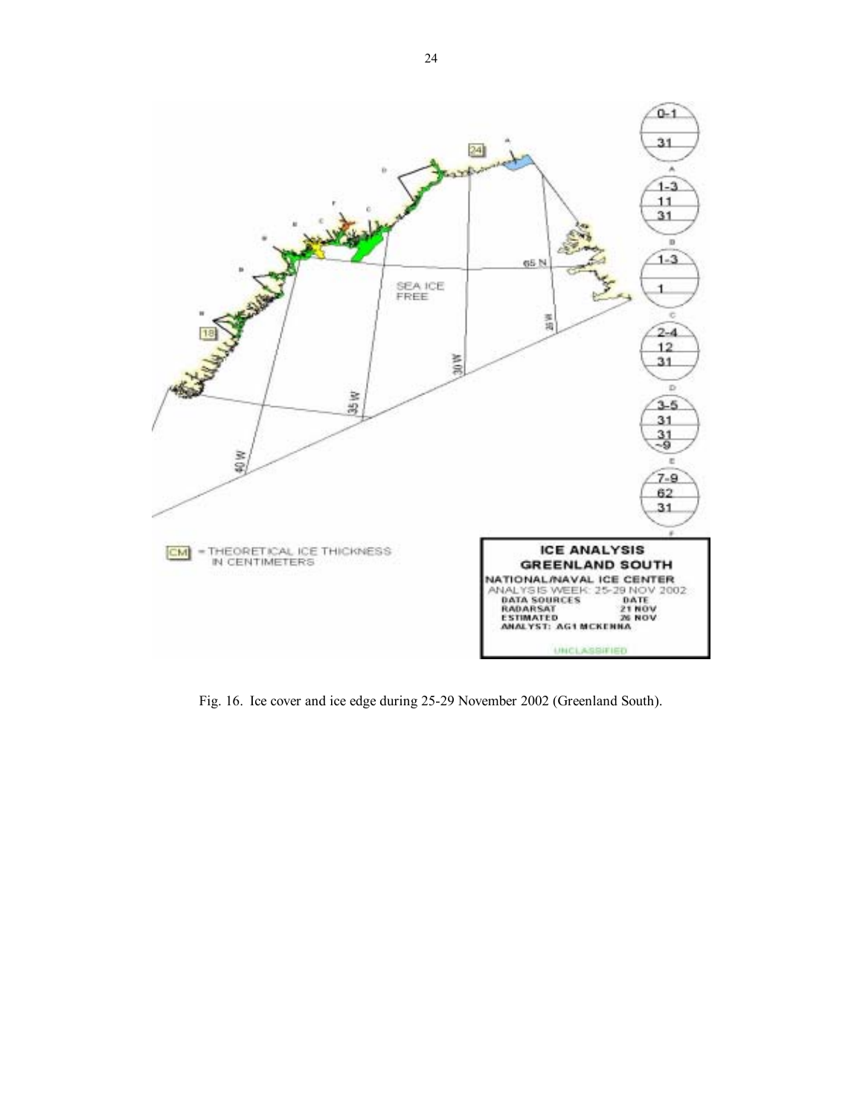

Fig. 16. Ice cover and ice edge during 25-29 November 2002 (Greenland South).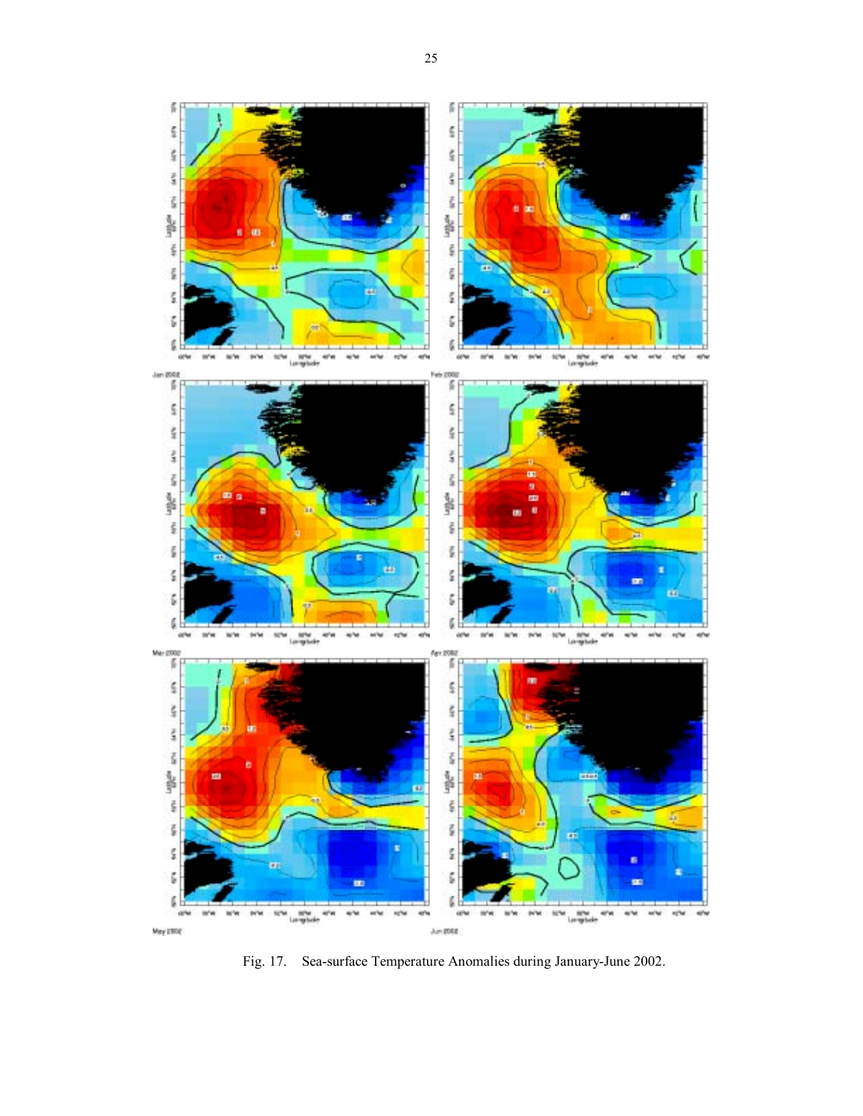

Fig. 17. Sea-surface Temperature Anomalies during January-June 2002.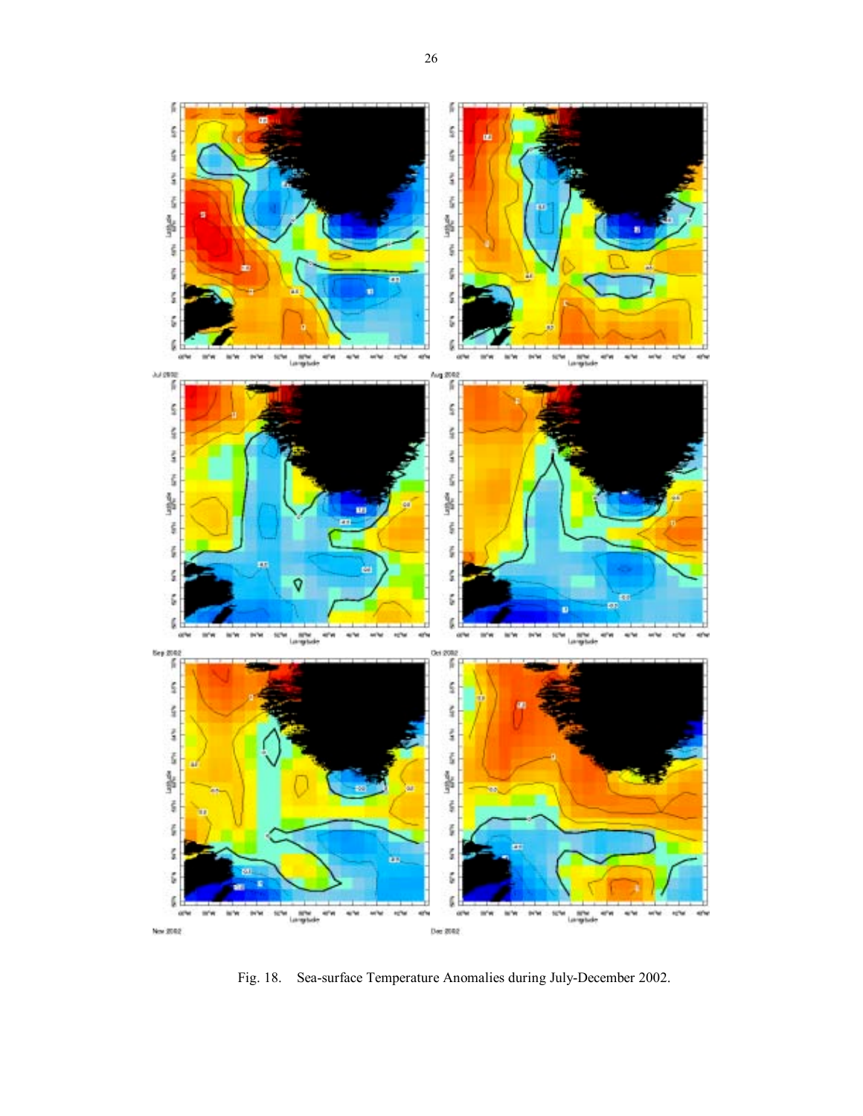

Fig. 18. Sea-surface Temperature Anomalies during July-December 2002.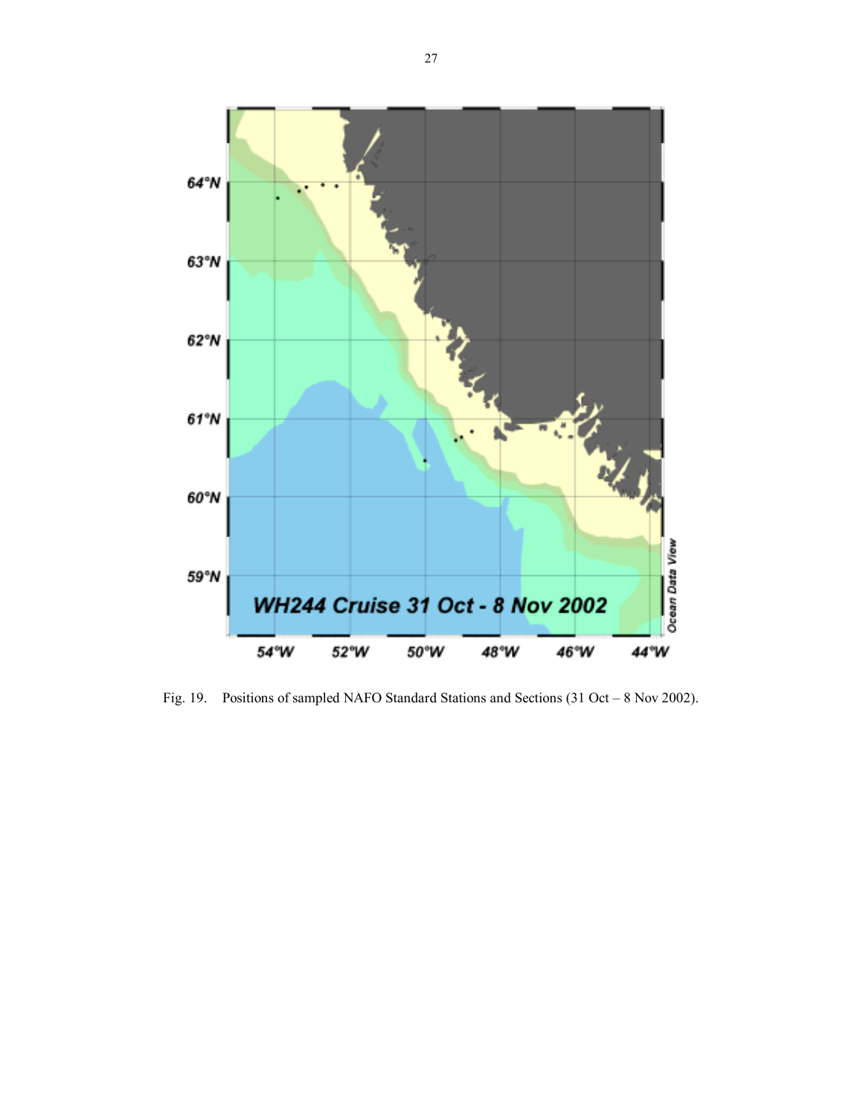

Fig. 19. Positions of sampled NAFO Standard Stations and Sections  $(31 Oct - 8 Nov 2002)$ .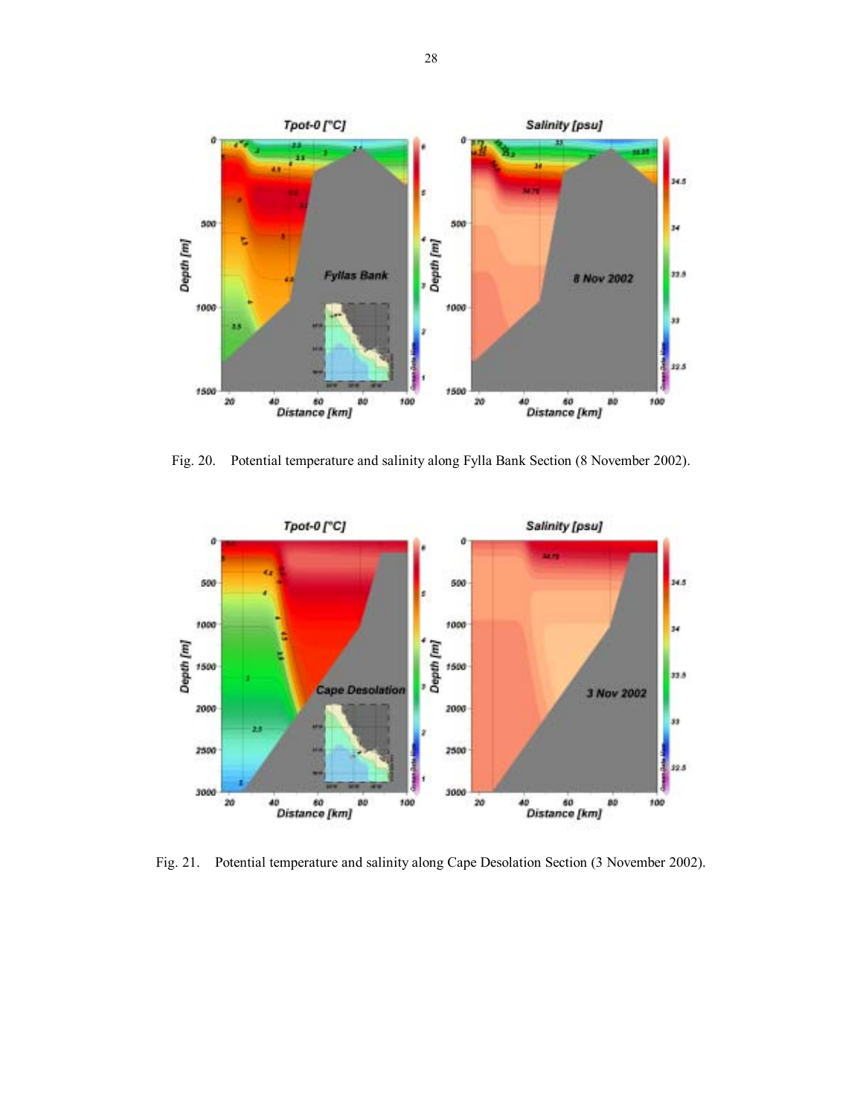

Fig. 20. Potential temperature and salinity along Fylla Bank Section (8 November 2002).



Fig. 21. Potential temperature and salinity along Cape Desolation Section (3 November 2002).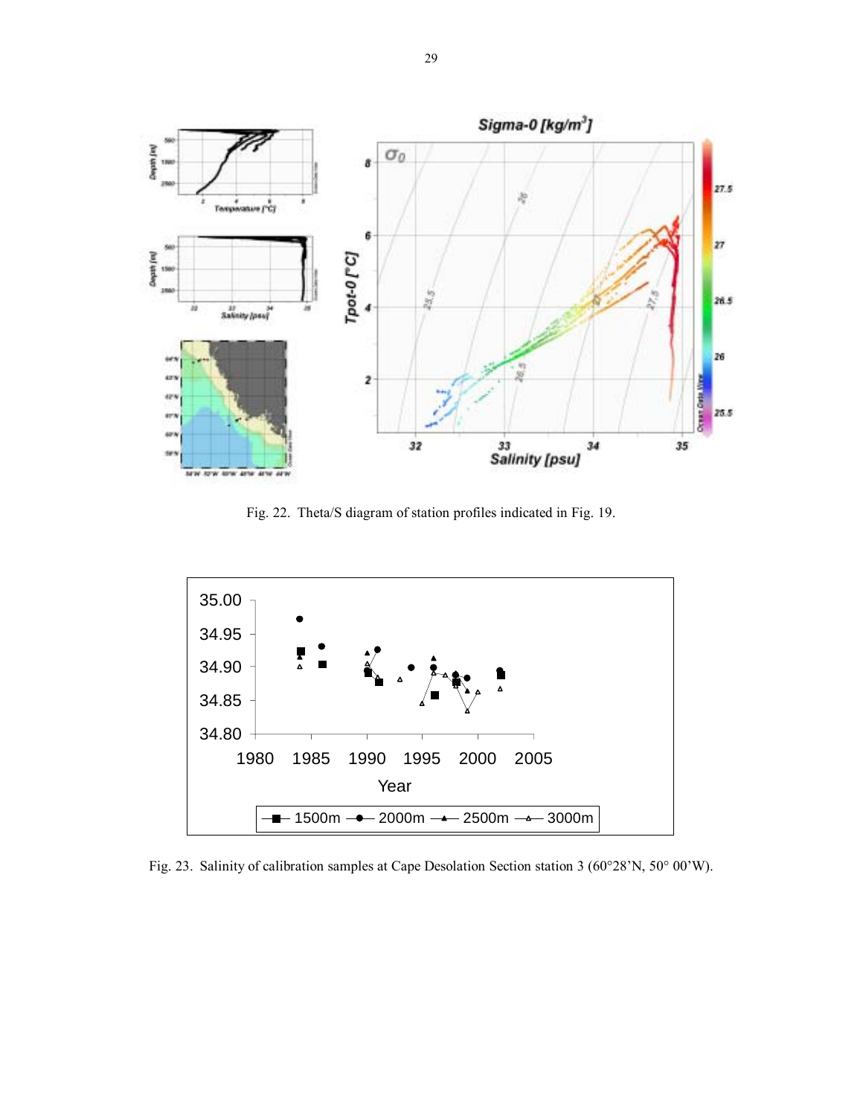

Fig. 22. Theta/S diagram of station profiles indicated in Fig. 19.



Fig. 23. Salinity of calibration samples at Cape Desolation Section station 3 (60°28′N, 50° 00′W).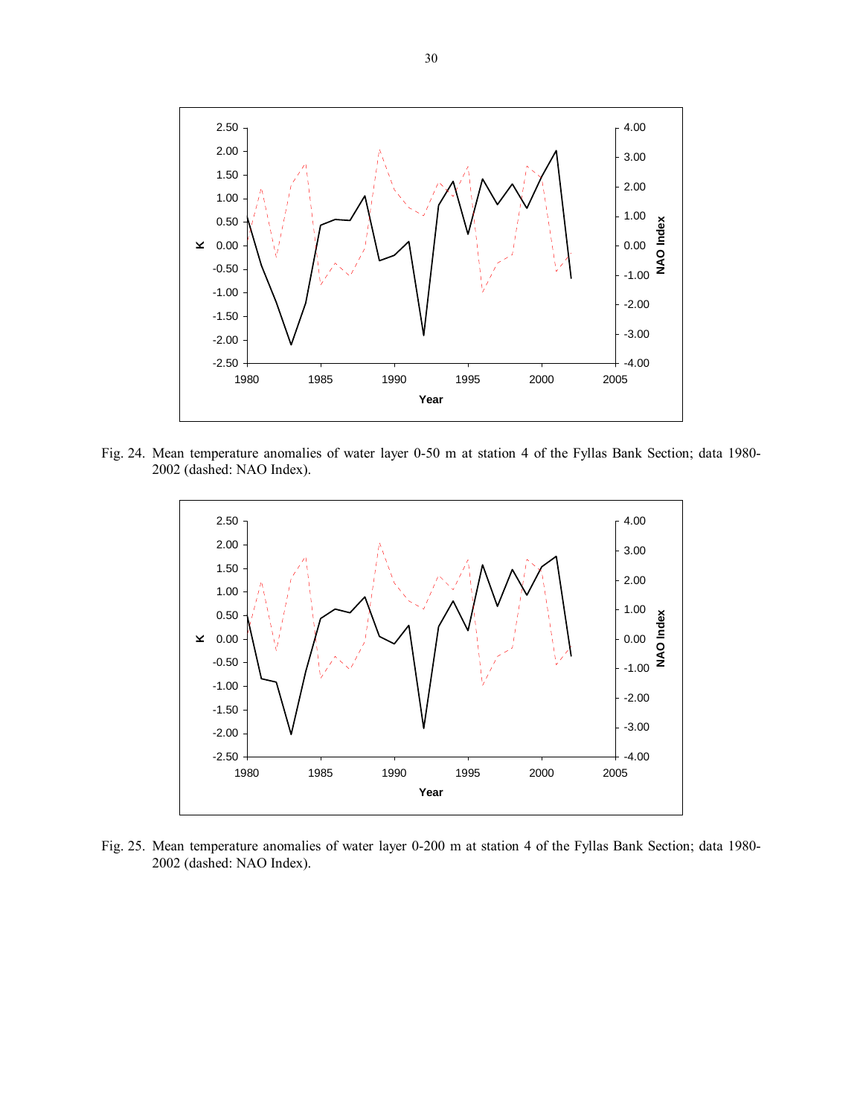

Fig. 24. Mean temperature anomalies of water layer 0-50 m at station 4 of the Fyllas Bank Section; data 1980- 2002 (dashed: NAO Index).



Fig. 25. Mean temperature anomalies of water layer 0-200 m at station 4 of the Fyllas Bank Section; data 1980- 2002 (dashed: NAO Index).